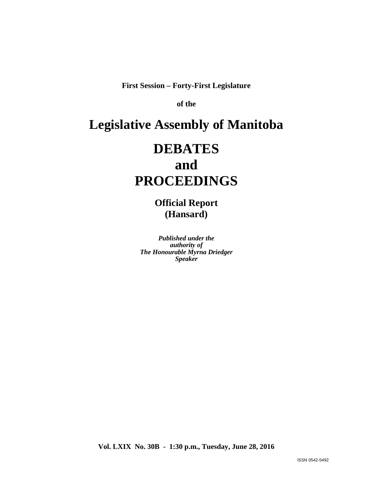**First Session – Forty-First Legislature**

**of the** 

# **Legislative Assembly of Manitoba**

# **DEBATES and PROCEEDINGS**

**Official Report (Hansard)**

*Published under the authority of The Honourable Myrna Driedger Speaker*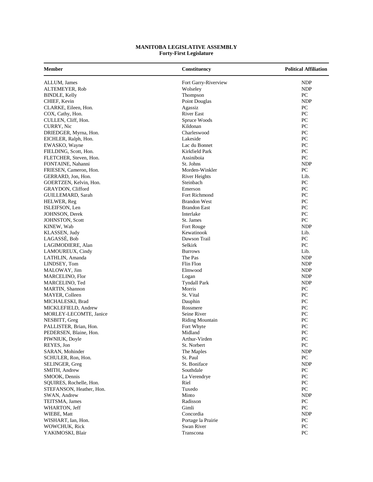## **MANITOBA LEGISLATIVE ASSEMBLY Forty-First Legislature**

| <b>Member</b>            | Constituency           | <b>Political Affiliation</b> |
|--------------------------|------------------------|------------------------------|
| ALLUM, James             | Fort Garry-Riverview   | <b>NDP</b>                   |
| ALTEMEYER, Rob           | Wolseley               | NDP                          |
| <b>BINDLE, Kelly</b>     | Thompson               | PC                           |
| CHIEF, Kevin             | Point Douglas          | <b>NDP</b>                   |
| CLARKE, Eileen, Hon.     | Agassiz                | PC                           |
| COX, Cathy, Hon.         | <b>River East</b>      | PC                           |
| CULLEN, Cliff, Hon.      | Spruce Woods           | PC                           |
| CURRY, Nic               | Kildonan               | PC                           |
| DRIEDGER, Myrna, Hon.    | Charleswood            | PC                           |
| EICHLER, Ralph, Hon.     | Lakeside               | PC                           |
| EWASKO, Wayne            | Lac du Bonnet          | PC                           |
| FIELDING, Scott, Hon.    | Kirkfield Park         | PC                           |
| FLETCHER, Steven, Hon.   | Assiniboia             | PC                           |
| FONTAINE, Nahanni        | St. Johns              | <b>NDP</b>                   |
| FRIESEN, Cameron, Hon.   | Morden-Winkler         | PC                           |
| GERRARD, Jon, Hon.       | River Heights          | Lib.                         |
| GOERTZEN, Kelvin, Hon.   | Steinbach              | PC                           |
| GRAYDON, Clifford        | Emerson                | PC                           |
| GUILLEMARD, Sarah        | Fort Richmond          | PC                           |
| HELWER, Reg              | <b>Brandon West</b>    | PC                           |
| ISLEIFSON, Len           | <b>Brandon East</b>    | PC                           |
| JOHNSON, Derek           | Interlake              | PC                           |
| <b>JOHNSTON, Scott</b>   | St. James              | PC                           |
| KINEW, Wab               | Fort Rouge             | <b>NDP</b>                   |
| KLASSEN, Judy            | Kewatinook             | Lib.                         |
| LAGASSÉ, Bob             | Dawson Trail           | PC                           |
| LAGIMODIERE, Alan        | Selkirk                | PC                           |
| LAMOUREUX, Cindy         | <b>Burrows</b>         | Lib.                         |
| LATHLIN, Amanda          | The Pas                | <b>NDP</b>                   |
| LINDSEY, Tom             | Flin Flon              | <b>NDP</b>                   |
| MALOWAY, Jim             | Elmwood                | <b>NDP</b>                   |
| <b>MARCELINO, Flor</b>   | Logan                  | <b>NDP</b>                   |
| MARCELINO, Ted           | <b>Tyndall Park</b>    | NDP                          |
| <b>MARTIN, Shannon</b>   | Morris                 | PC                           |
| MAYER, Colleen           | St. Vital              | PC                           |
| MICHALESKI, Brad         | Dauphin                | PC                           |
| MICKLEFIELD, Andrew      | Rossmere               | PC                           |
| MORLEY-LECOMTE, Janice   | Seine River            | PC                           |
| NESBITT, Greg            | <b>Riding Mountain</b> | PC                           |
| PALLISTER, Brian, Hon.   | Fort Whyte             | PC                           |
| PEDERSEN, Blaine, Hon.   | Midland                | PC                           |
| PIWNIUK, Doyle           | Arthur-Virden          | PC                           |
| REYES, Jon               | St. Norbert            | ${\rm P}{\bf C}$             |
| SARAN, Mohinder          | The Maples             | <b>NDP</b>                   |
| SCHULER, Ron, Hon.       | St. Paul               | PC                           |
| SELINGER, Greg           | St. Boniface           | <b>NDP</b>                   |
| SMITH, Andrew            | Southdale              | PC                           |
| SMOOK. Dennis            | La Verendrye           | PC                           |
| SQUIRES, Rochelle, Hon.  | Riel                   | PC                           |
| STEFANSON, Heather, Hon. | Tuxedo                 | PC                           |
| SWAN, Andrew             | Minto                  | <b>NDP</b>                   |
| TEITSMA, James           | Radisson               | PC                           |
| WHARTON, Jeff            | Gimli                  | PC                           |
| WIEBE, Matt              | Concordia              | <b>NDP</b>                   |
| WISHART, Ian, Hon.       | Portage la Prairie     | PC                           |
| WOWCHUK, Rick            | Swan River             | $\rm{PC}$                    |
| YAKIMOSKI, Blair         | Transcona              | PC                           |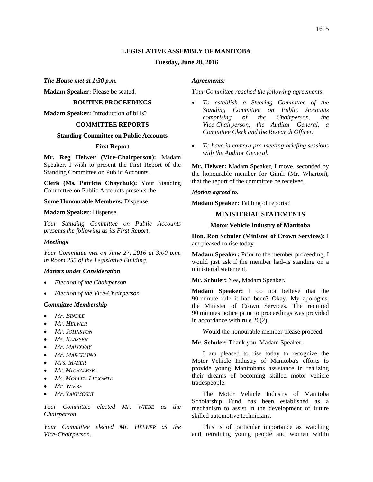### **LEGISLATIVE ASSEMBLY OF MANITOBA**

#### **Tuesday, June 28, 2016**

*The House met at 1:30 p.m.*

<span id="page-2-0"></span>**Madam Speaker:** Please be seated.

#### **ROUTINE PROCEEDINGS**

<span id="page-2-1"></span>**Madam Speaker:** Introduction of bills?

## **COMMITTEE REPORTS**

## <span id="page-2-3"></span><span id="page-2-2"></span>**Standing Committee on Public Accounts**

#### <span id="page-2-4"></span>**First Report**

**Mr. Reg Helwer (Vice-Chairperson):** Madam Speaker, I wish to present the First Report of the Standing Committee on Public Accounts.

**Clerk (Ms. Patricia Chaychuk):** Your Standing Committee on Public Accounts presents the–

**Some Honourable Members:** Dispense.

**Madam Speaker:** Dispense.

*Your Standing Committee on Public Accounts presents the following as its First Report.*

#### *Meetings*

*Your Committee met on June 27, 2016 at 3:00 p.m. in Room 255 of the Legislative Building.*

#### *Matters under Consideration*

- *Election of the Chairperson*
- *Election of the Vice-Chairperson*

#### *Committee Membership*

- *Mr. BINDLE*
- *Mr. HELWER*
- *Mr. JOHNSTON*
- *Ms. KLASSEN*
- *Mr. MALOWAY*
- *Mr. MARCELINO*
- *Mrs. MAYER*
- *Mr. MICHALESKI*
- *Ms. MORLEY-LECOMTE*
- *Mr. WIEBE*
- *Mr. YAKIMOSKI*

*Your Committee elected Mr. WIEBE as the Chairperson.*

*Your Committee elected Mr. HELWER as the Vice-Chairperson.*

#### *Agreements:*

#### *Your Committee reached the following agreements:*

- *To establish a Steering Committee of the Standing Committee on Public Accounts comprising of the Chairperson, the Vice-Chairperson, the Auditor General, a Committee Clerk and the Research Officer.*
- *To have in camera pre-meeting briefing sessions with the Auditor General.*

**Mr. Helwer:** Madam Speaker, I move, seconded by the honourable member for Gimli (Mr. Wharton), that the report of the committee be received.

*Motion agreed to.* 

<span id="page-2-5"></span>**Madam Speaker:** Tabling of reports?

## **MINISTERIAL STATEMENTS**

#### <span id="page-2-7"></span>**Motor Vehicle Industry of Manitoba**

<span id="page-2-6"></span>**Hon. Ron Schuler (Minister of Crown Services):** I am pleased to rise today–

**Madam Speaker:** Prior to the member proceeding, I would just ask if the member had–is standing on a ministerial statement.

**Mr. Schuler:** Yes, Madam Speaker.

**Madam Speaker:** I do not believe that the 90-minute rule–it had been? Okay. My apologies, the Minister of Crown Services. The required 90 minutes notice prior to proceedings was provided in accordance with rule 26(2).

Would the honourable member please proceed.

**Mr. Schuler:** Thank you, Madam Speaker.

I am pleased to rise today to recognize the Motor Vehicle Industry of Manitoba's efforts to provide young Manitobans assistance in realizing their dreams of becoming skilled motor vehicle tradespeople.

The Motor Vehicle Industry of Manitoba Scholarship Fund has been established as a mechanism to assist in the development of future skilled automotive technicians.

This is of particular importance as watching and retraining young people and women within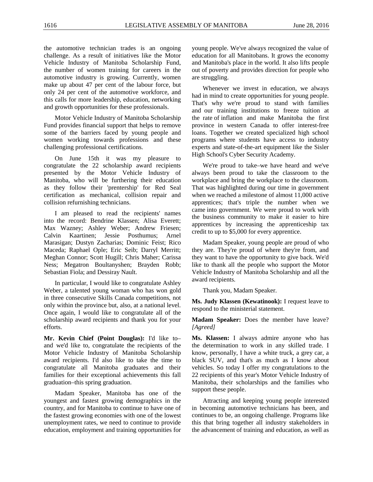the automotive technician trades is an ongoing challenge. As a result of initiatives like the Motor Vehicle Industry of Manitoba Scholarship Fund, the number of women training for careers in the automotive industry is growing. Currently, women make up about 47 per cent of the labour force, but only 24 per cent of the automotive workforce, and this calls for more leadership, education, networking and growth opportunities for these professionals.

Motor Vehicle Industry of Manitoba Scholarship Fund provides financial support that helps to remove some of the barriers faced by young people and women working towards professions and these challenging professional certifications.

On June 15th it was my pleasure to congratulate the 22 scholarship award recipients presented by the Motor Vehicle Industry of Manitoba, who will be furthering their education as they follow their 'prentership' for Red Seal certification as mechanical, collision repair and collision refurnishing technicians.

I am pleased to read the recipients' names into the record: Bendrine Klassen; Alisa Everett; Max Wazney; Ashley Weber; Andrew Friesen; Calvin Kaartinen; Jessie Posthumus; Arnel Marasigan; Dustyn Zacharias; Dominic Feist; Rico Maceda; Raphael Ople; Eric Seib; Darryl Merritt; Meghan Connor; Scott Hugill; Chris Maher; Carissa Ness; Megatron Boultanyshen; Brayden Robb; Sebastian Fiola; and Dessiray Nault.

In particular, I would like to congratulate Ashley Weber, a talented young woman who has won gold in three consecutive Skills Canada competitions, not only within the province but, also, at a national level. Once again, I would like to congratulate all of the scholarship award recipients and thank you for your efforts.

<span id="page-3-0"></span>**Mr. Kevin Chief (Point Douglas):** I'd like to– and we'd like to, congratulate the recipients of the Motor Vehicle Industry of Manitoba Scholarship award recipients. I'd also like to take the time to congratulate all Manitoba graduates and their families for their exceptional achievements this fall graduation–this spring graduation.

Madam Speaker, Manitoba has one of the youngest and fastest growing demographics in the country, and for Manitoba to continue to have one of the fastest growing economies with one of the lowest unemployment rates, we need to continue to provide education, employment and training opportunities for

young people. We've always recognized the value of education for all Manitobans. It grows the economy and Manitoba's place in the world. It also lifts people out of poverty and provides direction for people who are struggling.

Whenever we invest in education, we always had in mind to create opportunities for young people. That's why we're proud to stand with families and our training institutions to freeze tuition at the rate of inflation and make Manitoba the first province in western Canada to offer interest-free loans. Together we created specialized high school programs where students have access to industry experts and state-of-the-art equipment like the Sisler High School's Cyber Security Academy.

We're proud to take–we have heard and we've always been proud to take the classroom to the workplace and bring the workplace to the classroom. That was highlighted during our time in government when we reached a milestone of almost 11,000 active apprentices; that's triple the number when we came into government. We were proud to work with the business community to make it easier to hire apprentices by increasing the apprenticeship tax credit to up to \$5,000 for every apprentice.

Madam Speaker, young people are proud of who they are. They're proud of where they're from, and they want to have the opportunity to give back. We'd like to thank all the people who support the Motor Vehicle Industry of Manitoba Scholarship and all the award recipients.

<span id="page-3-1"></span>Thank you, Madam Speaker.

**Ms. Judy Klassen (Kewatinook):** I request leave to respond to the ministerial statement.

**Madam Speaker:** Does the member have leave? *[Agreed]*

**Ms. Klassen:** I always admire anyone who has the determination to work in any skilled trade. I know, personally, I have a white truck, a grey car, a black SUV, and that's as much as I know about vehicles. So today I offer my congratulations to the 22 recipients of this year's Motor Vehicle Industry of Manitoba, their scholarships and the families who support these people.

Attracting and keeping young people interested in becoming automotive technicians has been, and continues to be, an ongoing challenge. Programs like this that bring together all industry stakeholders in the advancement of training and education, as well as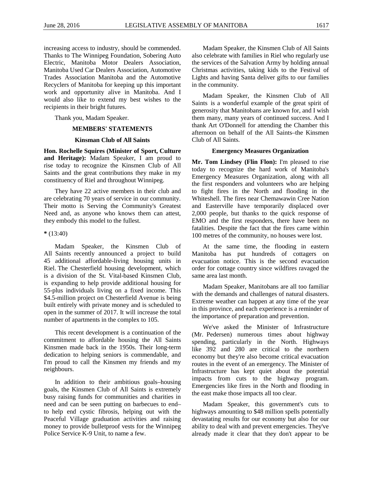increasing access to industry, should be commended. Thanks to The Winnipeg Foundation, Sobering Auto Electric, Manitoba Motor Dealers Association, Manitoba Used Car Dealers Association, Automotive Trades Association Manitoba and the Automotive Recyclers of Manitoba for keeping up this important work and opportunity alive in Manitoba. And I would also like to extend my best wishes to the recipients in their bright futures.

<span id="page-4-0"></span>Thank you, Madam Speaker.

## **MEMBERS' STATEMENTS**

#### <span id="page-4-2"></span>**Kinsman Club of All Saints**

<span id="page-4-1"></span>**Hon. Rochelle Squires (Minister of Sport, Culture and Heritage):** Madam Speaker, I am proud to rise today to recognize the Kinsmen Club of All Saints and the great contributions they make in my constituency of Riel and throughout Winnipeg.

They have 22 active members in their club and are celebrating 70 years of service in our community. Their motto is Serving the Community's Greatest Need and, as anyone who knows them can attest, they embody this model to the fullest.

#### **\*** (13:40)

Madam Speaker, the Kinsmen Club of All Saints recently announced a project to build 45 additional affordable-living housing units in Riel. The Chesterfield housing development, which is a division of the St. Vital-based Kinsmen Club, is expanding to help provide additional housing for 55-plus individuals living on a fixed income. This \$4.5-million project on Chesterfield Avenue is being built entirely with private money and is scheduled to open in the summer of 2017. It will increase the total number of apartments in the complex to 105.

This recent development is a continuation of the commitment to affordable housing the All Saints Kinsmen made back in the 1950s. Their long-term dedication to helping seniors is commendable, and I'm proud to call the Kinsmen my friends and my neighbours.

In addition to their ambitious goals–housing goals, the Kinsmen Club of All Saints is extremely busy raising funds for communities and charities in need and can be seen putting on barbecues to end– to help end cystic fibrosis, helping out with the Peaceful Village graduation activities and raising money to provide bulletproof vests for the Winnipeg Police Service K-9 Unit, to name a few.

Madam Speaker, the Kinsmen Club of All Saints also celebrate with families in Riel who regularly use the services of the Salvation Army by holding annual Christmas activities, taking kids to the Festival of Lights and having Santa deliver gifts to our families in the community.

Madam Speaker, the Kinsmen Club of All Saints is a wonderful example of the great spirit of generosity that Manitobans are known for, and I wish them many, many years of continued success. And I thank Art O'Donnell for attending the Chamber this afternoon on behalf of the All Saints–the Kinsmen Club of All Saints.

#### <span id="page-4-4"></span>**Emergency Measures Organization**

<span id="page-4-3"></span>**Mr. Tom Lindsey (Flin Flon):** I'm pleased to rise today to recognize the hard work of Manitoba's Emergency Measures Organization, along with all the first responders and volunteers who are helping to fight fires in the North and flooding in the Whiteshell. The fires near Chemawawin Cree Nation and Easterville have temporarily displaced over 2,000 people, but thanks to the quick response of EMO and the first responders, there have been no fatalities. Despite the fact that the fires came within 100 metres of the community, no houses were lost.

At the same time, the flooding in eastern Manitoba has put hundreds of cottagers on evacuation notice. This is the second evacuation order for cottage country since wildfires ravaged the same area last month.

Madam Speaker, Manitobans are all too familiar with the demands and challenges of natural disasters. Extreme weather can happen at any time of the year in this province, and each experience is a reminder of the importance of preparation and prevention.

We've asked the Minister of Infrastructure (Mr. Pedersen) numerous times about highway spending, particularly in the North. Highways like 392 and 280 are critical to the northern economy but they're also become critical evacuation routes in the event of an emergency. The Minister of Infrastructure has kept quiet about the potential impacts from cuts to the highway program. Emergencies like fires in the North and flooding in the east make those impacts all too clear.

Madam Speaker, this government's cuts to highways amounting to \$48 million spells potentially devastating results for our economy but also for our ability to deal with and prevent emergencies. They've already made it clear that they don't appear to be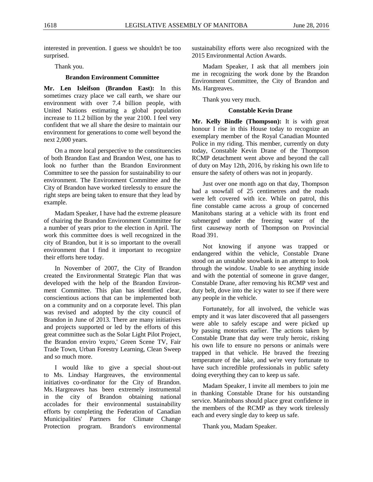interested in prevention. I guess we shouldn't be too surprised.

Thank you.

#### <span id="page-5-1"></span>**Brandon Environment Committee**

<span id="page-5-0"></span>**Mr. Len Isleifson (Brandon East):** In this sometimes crazy place we call earth, we share our environment with over 7.4 billion people, with United Nations estimating a global population increase to 11.2 billion by the year 2100. I feel very confident that we all share the desire to maintain our environment for generations to come well beyond the next 2,000 years.

On a more local perspective to the constituencies of both Brandon East and Brandon West, one has to look no further than the Brandon Environment Committee to see the passion for sustainability to our environment. The Environment Committee and the City of Brandon have worked tirelessly to ensure the right steps are being taken to ensure that they lead by example.

Madam Speaker, I have had the extreme pleasure of chairing the Brandon Environment Committee for a number of years prior to the election in April. The work this committee does is well recognized in the city of Brandon, but it is so important to the overall environment that I find it important to recognize their efforts here today.

In November of 2007, the City of Brandon created the Environmental Strategic Plan that was developed with the help of the Brandon Environment Committee. This plan has identified clear, conscientious actions that can be implemented both on a community and on a corporate level. This plan was revised and adopted by the city council of Brandon in June of 2013. There are many initiatives and projects supported or led by the efforts of this great committee such as the Solar Light Pilot Project, the Brandon enviro 'expro,' Green Scene TV, Fair Trade Town, Urban Forestry Learning, Clean Sweep and so much more.

I would like to give a special shout-out to Ms. Lindsay Hargreaves, the environmental initiatives co-ordinator for the City of Brandon. Ms. Hargreaves has been extremely instrumental in the city of Brandon obtaining national accolades for their environmental sustainability efforts by completing the Federation of Canadian Municipalities' Partners for Climate Change Protection program. Brandon's environmental sustainability efforts were also recognized with the 2015 Environmental Action Awards.

Madam Speaker, I ask that all members join me in recognizing the work done by the Brandon Environment Committee, the City of Brandon and Ms. Hargreaves.

Thank you very much.

#### <span id="page-5-3"></span>**Constable Kevin Drane**

<span id="page-5-2"></span>**Mr. Kelly Bindle (Thompson):** It is with great honour I rise in this House today to recognize an exemplary member of the Royal Canadian Mounted Police in my riding. This member, currently on duty today, Constable Kevin Drane of the Thompson RCMP detachment went above and beyond the call of duty on May 12th, 2016, by risking his own life to ensure the safety of others was not in jeopardy.

Just over one month ago on that day, Thompson had a snowfall of 25 centimetres and the roads were left covered with ice. While on patrol, this fine constable came across a group of concerned Manitobans staring at a vehicle with its front end submerged under the freezing water of the first causeway north of Thompson on Provincial Road 391.

Not knowing if anyone was trapped or endangered within the vehicle, Constable Drane stood on an unstable snowbank in an attempt to look through the window. Unable to see anything inside and with the potential of someone in grave danger, Constable Drane, after removing his RCMP vest and duty belt, dove into the icy water to see if there were any people in the vehicle.

Fortunately, for all involved, the vehicle was empty and it was later discovered that all passengers were able to safely escape and were picked up by passing motorists earlier. The actions taken by Constable Drane that day were truly heroic, risking his own life to ensure no persons or animals were trapped in that vehicle. He braved the freezing temperature of the lake, and we're very fortunate to have such incredible professionals in public safety doing everything they can to keep us safe.

Madam Speaker, I invite all members to join me in thanking Constable Drane for his outstanding service. Manitobans should place great confidence in the members of the RCMP as they work tirelessly each and every single day to keep us safe.

Thank you, Madam Speaker.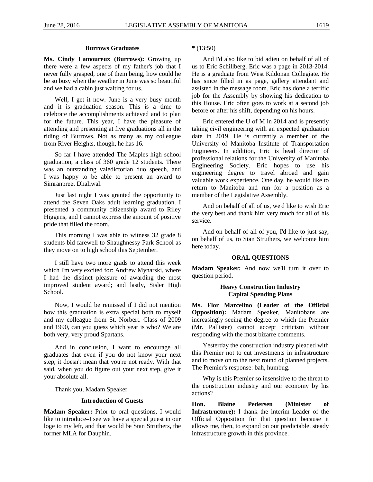#### <span id="page-6-1"></span>**Burrows Graduates**

<span id="page-6-0"></span>**Ms. Cindy Lamoureux (Burrows):** Growing up there were a few aspects of my father's job that I never fully grasped, one of them being, how could he be so busy when the weather in June was so beautiful and we had a cabin just waiting for us.

Well, I get it now. June is a very busy month and it is graduation season. This is a time to celebrate the accomplishments achieved and to plan for the future. This year, I have the pleasure of attending and presenting at five graduations all in the riding of Burrows. Not as many as my colleague from River Heights, though, he has 16.

So far I have attended The Maples high school graduation, a class of 360 grade 12 students. There was an outstanding valedictorian duo speech, and I was happy to be able to present an award to Simranpreet Dhaliwal.

Just last night I was granted the opportunity to attend the Seven Oaks adult learning graduation. I presented a community citizenship award to Riley Higgens, and I cannot express the amount of positive pride that filled the room.

This morning I was able to witness 32 grade 8 students bid farewell to Shaughnessy Park School as they move on to high school this September.

I still have two more grads to attend this week which I'm very excited for: Andrew Mynarski, where I had the distinct pleasure of awarding the most improved student award; and lastly, Sisler High School.

Now, I would be remissed if I did not mention how this graduation is extra special both to myself and my colleague from St. Norbert. Class of 2009 and 1990, can you guess which year is who? We are both very, very proud Spartans.

And in conclusion, I want to encourage all graduates that even if you do not know your next step, it doesn't mean that you're not ready. With that said, when you do figure out your next step, give it your absolute all.

Thank you, Madam Speaker.

#### **Introduction of Guests**

**Madam Speaker:** Prior to oral questions, I would like to introduce–I see we have a special guest in our loge to my left, and that would be Stan Struthers, the former MLA for Dauphin.

**\*** (13:50)

And I'd also like to bid adieu on behalf of all of us to Eric Schillberg. Eric was a page in 2013-2014. He is a graduate from West Kildonan Collegiate. He has since filled in as page, gallery attendant and assisted in the message room. Eric has done a terrific job for the Assembly by showing his dedication to this House. Eric often goes to work at a second job before or after his shift, depending on his hours.

Eric entered the U of M in 2014 and is presently taking civil engineering with an expected graduation date in 2019. He is currently a member of the University of Manitoba Institute of Transportation Engineers. In addition, Eric is head director of professional relations for the University of Manitoba Engineering Society. Eric hopes to use his engineering degree to travel abroad and gain valuable work experience. One day, he would like to return to Manitoba and run for a position as a member of the Legislative Assembly.

And on behalf of all of us, we'd like to wish Eric the very best and thank him very much for all of his service.

And on behalf of all of you, I'd like to just say, on behalf of us, to Stan Struthers, we welcome him here today.

### **ORAL QUESTIONS**

<span id="page-6-3"></span><span id="page-6-2"></span>**Madam Speaker:** And now we'll turn it over to question period.

# <span id="page-6-4"></span>**Heavy Construction Industry Capital Spending Plans**

**Ms. Flor Marcelino (Leader of the Official Opposition):** Madam Speaker, Manitobans are increasingly seeing the degree to which the Premier (Mr. Pallister) cannot accept criticism without responding with the most bizarre comments.

Yesterday the construction industry pleaded with this Premier not to cut investments in infrastructure and to move on to the next round of planned projects. The Premier's response: bah, humbug.

Why is this Premier so insensitive to the threat to the construction industry and our economy by his actions?

<span id="page-6-5"></span>**Hon. Blaine Pedersen (Minister of Infrastructure):** I thank the interim Leader of the Official Opposition for that question because it allows me, then, to expand on our predictable, steady infrastructure growth in this province.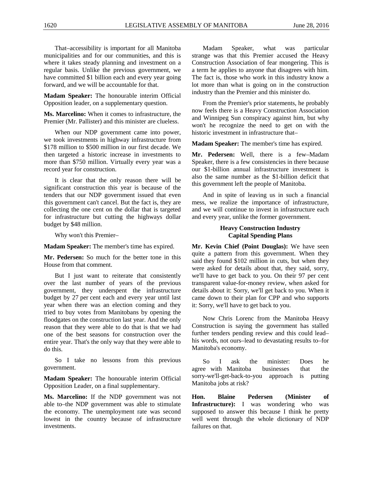That–accessibility is important for all Manitoba municipalities and for our communities, and this is where it takes steady planning and investment on a regular basis. Unlike the previous government, we have committed \$1 billion each and every year going forward, and we will be accountable for that.

**Madam Speaker:** The honourable interim Official Opposition leader, on a supplementary question.

**Ms. Marcelino:** When it comes to infrastructure, the Premier (Mr. Pallister) and this minister are clueless.

When our NDP government came into power, we took investments in highway infrastructure from \$178 million to \$500 million in our first decade. We then targeted a historic increase in investments to more than \$750 million. Virtually every year was a record year for construction.

It is clear that the only reason there will be significant construction this year is because of the tenders that our NDP government issued that even this government can't cancel. But the fact is, they are collecting the one cent on the dollar that is targeted for infrastructure but cutting the highways dollar budget by \$48 million.

Why won't this Premier–

**Madam Speaker:** The member's time has expired.

**Mr. Pedersen:** So much for the better tone in this House from that comment.

But I just want to reiterate that consistently over the last number of years of the previous government, they underspent the infrastructure budget by 27 per cent each and every year until last year when there was an election coming and they tried to buy votes from Manitobans by opening the floodgates on the construction last year. And the only reason that they were able to do that is that we had one of the best seasons for construction over the entire year. That's the only way that they were able to do this.

So I take no lessons from this previous government.

**Madam Speaker:** The honourable interim Official Opposition Leader, on a final supplementary.

**Ms. Marcelino:** If the NDP government was not able to–the NDP government was able to stimulate the economy. The unemployment rate was second lowest in the country because of infrastructure investments.

Madam Speaker, what was particular strange was that this Premier accused the Heavy Construction Association of fear mongering. This is a term he applies to anyone that disagrees with him. The fact is, those who work in this industry know a lot more than what is going on in the construction industry than the Premier and this minister do.

From the Premier's prior statements, he probably now feels there is a Heavy Construction Association and Winnipeg Sun conspiracy against him, but why won't he recognize the need to get on with the historic investment in infrastructure that–

**Madam Speaker:** The member's time has expired.

**Mr. Pedersen:** Well, there is a few–Madam Speaker, there is a few consistencies in there because our \$1-billion annual infrastructure investment is also the same number as the \$1-billion deficit that this government left the people of Manitoba.

And in spite of leaving us in such a financial mess, we realize the importance of infrastructure, and we will continue to invest in infrastructure each and every year, unlike the former government.

# <span id="page-7-1"></span>**Heavy Construction Industry Capital Spending Plans**

<span id="page-7-0"></span>**Mr. Kevin Chief (Point Douglas):** We have seen quite a pattern from this government. When they said they found \$102 million in cuts, but when they were asked for details about that, they said, sorry, we'll have to get back to you. On their 97 per cent transparent value-for-money review, when asked for details about it: Sorry, we'll get back to you. When it came down to their plan for CPP and who supports it: Sorry, we'll have to get back to you.

Now Chris Lorenc from the Manitoba Heavy Construction is saying the government has stalled further tenders pending review and this could lead– his words, not ours–lead to devastating results to–for Manitoba's economy.

So I ask the minister: Does he agree with Manitoba businesses that the sorry-we'll-get-back-to-you approach is putting Manitoba jobs at risk?

<span id="page-7-2"></span>**Hon. Blaine Pedersen (Minister of Infrastructure):** I was wondering who was supposed to answer this because I think he pretty well went through the whole dictionary of NDP failures on that.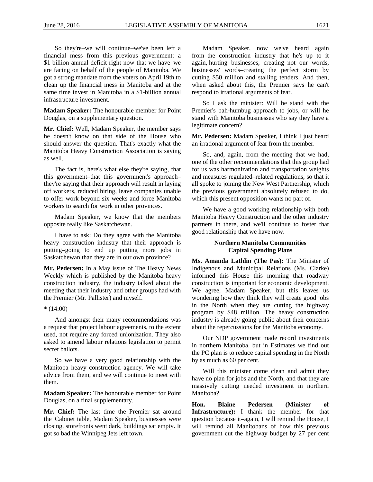So they're–we will continue–we've been left a financial mess from this previous government: a \$1-billion annual deficit right now that we have–we are facing on behalf of the people of Manitoba. We got a strong mandate from the voters on April 19th to clean up the financial mess in Manitoba and at the same time invest in Manitoba in a \$1-billion annual infrastructure investment.

**Madam Speaker:** The honourable member for Point Douglas, on a supplementary question.

**Mr. Chief:** Well, Madam Speaker, the member says he doesn't know on that side of the House who should answer the question. That's exactly what the Manitoba Heavy Construction Association is saying as well.

The fact is, here's what else they're saying, that this government–that this government's approach– they're saying that their approach will result in laying off workers, reduced hiring, leave companies unable to offer work beyond six weeks and force Manitoba workers to search for work in other provinces.

Madam Speaker, we know that the members opposite really like Saskatchewan.

I have to ask: Do they agree with the Manitoba heavy construction industry that their approach is putting–going to end up putting more jobs in Saskatchewan than they are in our own province?

**Mr. Pedersen:** In a May issue of The Heavy News Weekly which is published by the Manitoba heavy construction industry, the industry talked about the meeting that their industry and other groups had with the Premier (Mr. Pallister) and myself.

#### **\*** (14:00)

And amongst their many recommendations was a request that project labour agreements, to the extent used, not require any forced unionization. They also asked to amend labour relations legislation to permit secret ballots.

So we have a very good relationship with the Manitoba heavy construction agency. We will take advice from them, and we will continue to meet with them.

**Madam Speaker:** The honourable member for Point Douglas, on a final supplementary.

**Mr. Chief:** The last time the Premier sat around the Cabinet table, Madam Speaker, businesses were closing, storefronts went dark, buildings sat empty. It got so bad the Winnipeg Jets left town.

Madam Speaker, now we've heard again from the construction industry that he's up to it again, hurting businesses, creating–not our words, businesses' words–creating the perfect storm by cutting \$50 million and stalling tenders. And then, when asked about this, the Premier says he can't respond to irrational arguments of fear.

So I ask the minister: Will he stand with the Premier's bah-humbug approach to jobs, or will he stand with Manitoba businesses who say they have a legitimate concern?

**Mr. Pedersen:** Madam Speaker, I think I just heard an irrational argument of fear from the member.

So, and, again, from the meeting that we had, one of the other recommendations that this group had for us was harmonization and transportation weights and measures regulated–related regulations, so that it all spoke to joining the New West Partnership, which the previous government absolutely refused to do, which this present opposition wants no part of.

We have a good working relationship with both Manitoba Heavy Construction and the other industry partners in there, and we'll continue to foster that good relationship that we have now.

## <span id="page-8-1"></span>**Northern Manitoba Communities Capital Spending Plans**

<span id="page-8-0"></span>**Ms. Amanda Lathlin (The Pas):** The Minister of Indigenous and Municipal Relations (Ms. Clarke) informed this House this morning that roadway construction is important for economic development. We agree, Madam Speaker, but this leaves us wondering how they think they will create good jobs in the North when they are cutting the highway program by \$48 million. The heavy construction industry is already going public about their concerns about the repercussions for the Manitoba economy.

Our NDP government made record investments in northern Manitoba, but in Estimates we find out the PC plan is to reduce capital spending in the North by as much as 60 per cent.

Will this minister come clean and admit they have no plan for jobs and the North, and that they are massively cutting needed investment in northern Manitoba?

<span id="page-8-2"></span>**Hon. Blaine Pedersen (Minister of Infrastructure):** I thank the member for that question because it–again, I will remind the House, I will remind all Manitobans of how this previous government cut the highway budget by 27 per cent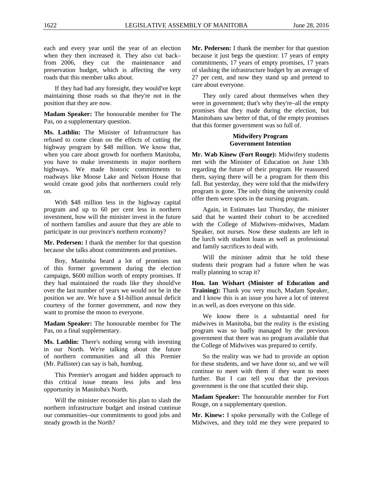each and every year until the year of an election when they then increased it. They also cut back– from 2006, they cut the maintenance and preservation budget, which is affecting the very roads that this member talks about.

If they had had any foresight, they would've kept maintaining those roads so that they're not in the position that they are now.

**Madam Speaker:** The honourable member for The Pas, on a supplementary question.

**Ms. Lathlin:** The Minister of Infrastructure has refused to come clean on the effects of cutting the highway program by \$48 million. We know that, when you care about growth for northern Manitoba, you have to make investments in major northern highways. We made historic commitments to roadways like Moose Lake and Nelson House that would create good jobs that northerners could rely on.

With \$48 million less in the highway capital program and up to 60 per cent less in northern investment, how will the minister invest in the future of northern families and assure that they are able to participate in our province's northern economy?

**Mr. Pedersen:** I thank the member for that question because she talks about commitments and promises.

Boy, Manitoba heard a lot of promises out of this former government during the election campaign, \$600 million worth of empty promises. If they had maintained the roads like they should've over the last number of years we would not be in the position we are. We have a \$1-billion annual deficit courtesy of the former government, and now they want to promise the moon to everyone.

**Madam Speaker:** The honourable member for The Pas, on a final supplementary.

**Ms. Lathlin:** There's nothing wrong with investing in our North. We're talking about the future of northern communities and all this Premier (Mr. Pallister) can say is bah, humbug.

This Premier's arrogant and hidden approach to this critical issue means less jobs and less opportunity in Manitoba's North.

Will the minister reconsider his plan to slash the northern infrastructure budget and instead continue our communities–our commitments to good jobs and steady growth in the North?

**Mr. Pedersen:** I thank the member for that question because it just begs the question: 17 years of empty commitments, 17 years of empty promises, 17 years of slashing the infrastructure budget by an average of 27 per cent, and now they stand up and pretend to care about everyone.

They only cared about themselves when they were in government; that's why they're–all the empty promises that they made during the election, but Manitobans saw better of that, of the empty promises that this former government was so full of.

#### <span id="page-9-1"></span>**Midwifery Program Government Intention**

<span id="page-9-0"></span>**Mr. Wab Kinew (Fort Rouge):** Midwifery students met with the Minister of Education on June 13th regarding the future of their program. He reassured them, saying there will be a program for them this fall. But yesterday, they were told that the midwifery program is gone. The only thing the university could offer them were spots in the nursing program.

Again, in Estimates last Thursday, the minister said that he wanted their cohort to be accredited with the College of Midwives–midwives, Madam Speaker, not nurses. Now these students are left in the lurch with student loans as well as professional and family sacrifices to deal with.

Will the minister admit that he told these students their program had a future when he was really planning to scrap it?

<span id="page-9-2"></span>**Hon. Ian Wishart (Minister of Education and Training):** Thank you very much, Madam Speaker, and I know this is an issue you have a lot of interest in as well, as does everyone on this side.

We know there is a substantial need for midwives in Manitoba, but the reality is the existing program was so badly managed by the previous government that there was no program available that the College of Midwives was prepared to certify.

So the reality was we had to provide an option for these students, and we have done so, and we will continue to meet with them if they want to meet further. But I can tell you that the previous government is the one that scuttled their ship.

**Madam Speaker:** The honourable member for Fort Rouge, on a supplementary question.

**Mr. Kinew:** I spoke personally with the College of Midwives, and they told me they were prepared to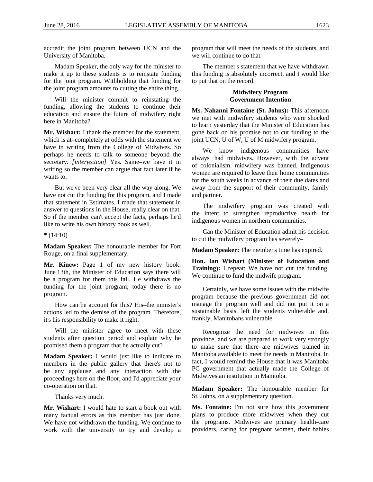accredit the joint program between UCN and the University of Manitoba.

Madam Speaker, the only way for the minister to make it up to these students is to reinstate funding for the joint program. Withholding that funding for the joint program amounts to cutting the entire thing.

Will the minister commit to reinstating the funding, allowing the students to continue their education and ensure the future of midwifery right here in Manitoba?

**Mr. Wishart:** I thank the member for the statement, which is at–completely at odds with the statement we have in writing from the College of Midwives. So perhaps he needs to talk to someone beyond the secretary. *[interjection]* Yes. Same–we have it in writing so the member can argue that fact later if he wants to.

But we've been very clear all the way along. We have not cut the funding for this program, and I made that statement in Estimates. I made that statement in answer to questions in the House, really clear on that. So if the member can't accept the facts, perhaps he'd like to write his own history book as well.

**\*** (14:10)

**Madam Speaker:** The honourable member for Fort Rouge, on a final supplementary.

**Mr. Kinew:** Page 1 of my new history book: June 13th, the Minister of Education says there will be a program for them this fall. He withdraws the funding for the joint program; today there is no program.

How can he account for this? His–the minister's actions led to the demise of the program. Therefore, it's his responsibility to make it right.

Will the minister agree to meet with these students after question period and explain why he promised them a program that he actually cut?

**Madam Speaker:** I would just like to indicate to members in the public gallery that there's not to be any applause and any interaction with the proceedings here on the floor, and I'd appreciate your co-operation on that.

Thanks very much.

**Mr. Wishart:** I would hate to start a book out with many factual errors as this member has just done. We have not withdrawn the funding. We continue to work with the university to try and develop a program that will meet the needs of the students, and we will continue to do that.

The member's statement that we have withdrawn this funding is absolutely incorrect, and I would like to put that on the record.

# <span id="page-10-1"></span>**Midwifery Program Government Intention**

<span id="page-10-0"></span>**Ms. Nahanni Fontaine (St. Johns):** This afternoon we met with midwifery students who were shocked to learn yesterday that the Minister of Education has gone back on his promise not to cut funding to the joint UCN, U of W, U of M midwifery program.

We know indigenous communities have always had midwives. However, with the advent of colonialism, midwifery was banned. Indigenous women are required to leave their home communities for the south weeks in advance of their due dates and away from the support of their community, family and partner.

The midwifery program was created with the intent to strengthen reproductive health for indigenous women in northern communities.

Can the Minister of Education admit his decision to cut the midwifery program has severely–

**Madam Speaker:** The member's time has expired.

<span id="page-10-2"></span>**Hon. Ian Wishart (Minister of Education and Training):** I repeat: We have not cut the funding. We continue to fund the midwife program.

Certainly, we have some issues with the midwife program because the previous government did not manage the program well and did not put it on a sustainable basis, left the students vulnerable and, frankly, Manitobans vulnerable.

Recognize the need for midwives in this province, and we are prepared to work very strongly to make sure that there are midwives trained in Manitoba available to meet the needs in Manitoba. In fact, I would remind the House that it was Manitoba PC government that actually made the College of Midwives an institution in Manitoba.

**Madam Speaker:** The honourable member for St. Johns, on a supplementary question.

**Ms. Fontaine:** I'm not sure how this government plans to produce more midwives when they cut the programs. Midwives are primary health-care providers, caring for pregnant women, their babies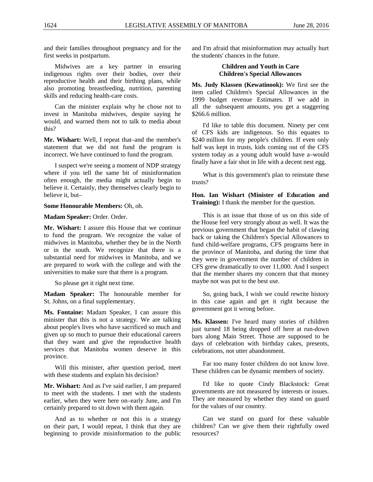and their families throughout pregnancy and for the first weeks in postpartum.

Midwives are a key partner in ensuring indigenous rights over their bodies, over their reproductive health and their birthing plans, while also promoting breastfeeding, nutrition, parenting skills and reducing health-care costs.

Can the minister explain why he chose not to invest in Manitoba midwives, despite saying he would, and warned them not to talk to media about this?

**Mr. Wishart:** Well, I repeat that–and the member's statement that we did not fund the program is incorrect. We have continued to fund the program.

I suspect we're seeing a moment of NDP strategy where if you tell the same bit of misinformation often enough, the media might actually begin to believe it. Certainly, they themselves clearly begin to believe it, but–

**Some Honourable Members:** Oh, oh.

**Madam Speaker:** Order. Order.

**Mr. Wishart:** I assure this House that we continue to fund the program. We recognize the value of midwives in Manitoba, whether they be in the North or in the south. We recognize that there is a substantial need for midwives in Manitoba, and we are prepared to work with the college and with the universities to make sure that there is a program.

So please get it right next time.

**Madam Speaker:** The honourable member for St. Johns, on a final supplementary.

**Ms. Fontaine:** Madam Speaker, I can assure this minister that this is not a strategy. We are talking about people's lives who have sacrificed so much and given up so much to pursue their educational careers that they want and give the reproductive health services that Manitoba women deserve in this province.

Will this minister, after question period, meet with these students and explain his decision?

**Mr. Wishart:** And as I've said earlier, I am prepared to meet with the students. I met with the students earlier, when they were here on–early June, and I'm certainly prepared to sit down with them again.

And as to whether or not this is a strategy on their part, I would repeat, I think that they are beginning to provide misinformation to the public <span id="page-11-0"></span>and I'm afraid that misinformation may actually hurt the students' chances in the future.

# <span id="page-11-1"></span>**Children and Youth in Care Children's Special Allowances**

**Ms. Judy Klassen (Kewatinook):** We first see the item called Children's Special Allowances in the 1999 budget revenue Estimates. If we add in all the subsequent amounts, you get a staggering \$266.6 million.

I'd like to table this document. Ninety per cent of CFS kids are indigenous. So this equates to \$240 million for my people's children. If even only half was kept in trusts, kids coming out of the CFS system today as a young adult would have a–would finally have a fair shot in life with a decent nest egg.

What is this government's plan to reinstate these trusts?

<span id="page-11-2"></span>**Hon. Ian Wishart (Minister of Education and Training):** I thank the member for the question.

This is an issue that those of us on this side of the House feel very strongly about as well. It was the previous government that began the habit of clawing back or taking the Children's Special Allowances to fund child-welfare programs, CFS programs here in the province of Manitoba, and during the time that they were in government the number of children in CFS grew dramatically to over 11,000. And I suspect that the member shares my concern that that money maybe not was put to the best use.

So, going back, I wish we could rewrite history in this case again and get it right because the government got it wrong before.

**Ms. Klassen:** I've heard many stories of children just turned 18 being dropped off here at run-down bars along Main Street. Those are supposed to be days of celebration with birthday cakes, presents, celebrations, not utter abandonment.

Far too many foster children do not know love. These children can be dynamic members of society.

I'd like to quote Cindy Blackstock: Great governments are not measured by interests or issues. They are measured by whether they stand on guard for the values of our country.

Can we stand on guard for these valuable children? Can we give them their rightfully owed resources?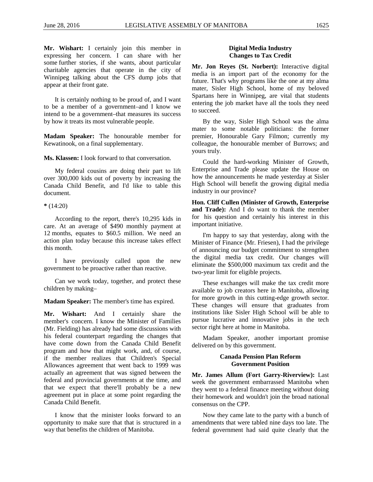**Mr. Wishart:** I certainly join this member in expressing her concern. I can share with her some further stories, if she wants, about particular charitable agencies that operate in the city of Winnipeg talking about the CFS dump jobs that appear at their front gate.

It is certainly nothing to be proud of, and I want to be a member of a government–and I know we intend to be a government–that measures its success by how it treats its most vulnerable people.

**Madam Speaker:** The honourable member for Kewatinook, on a final supplementary.

**Ms. Klassen:** I look forward to that conversation.

My federal cousins are doing their part to lift over 300,000 kids out of poverty by increasing the Canada Child Benefit, and I'd like to table this document.

**\*** (14:20)

According to the report, there's 10,295 kids in care. At an average of \$490 monthly payment at 12 months, equates to \$60.5 million. We need an action plan today because this increase takes effect this month.

I have previously called upon the new government to be proactive rather than reactive.

Can we work today, together, and protect these children by making–

**Madam Speaker:** The member's time has expired.

**Mr. Wishart:** And I certainly share the member's concern. I know the Minister of Families (Mr. Fielding) has already had some discussions with his federal counterpart regarding the changes that have come down from the Canada Child Benefit program and how that might work, and, of course, if the member realizes that Children's Special Allowances agreement that went back to 1999 was actually an agreement that was signed between the federal and provincial governments at the time, and that we expect that there'll probably be a new agreement put in place at some point regarding the Canada Child Benefit.

I know that the minister looks forward to an opportunity to make sure that that is structured in a way that benefits the children of Manitoba.

## <span id="page-12-1"></span>**Digital Media Industry Changes to Tax Credit**

<span id="page-12-0"></span>**Mr. Jon Reyes (St. Norbert):** Interactive digital media is an import part of the economy for the future. That's why programs like the one at my alma mater, Sisler High School, home of my beloved Spartans here in Winnipeg, are vital that students entering the job market have all the tools they need to succeed.

By the way, Sisler High School was the alma mater to some notable politicians: the former premier, Honourable Gary Filmon; currently my colleague, the honourable member of Burrows; and yours truly.

Could the hard-working Minister of Growth, Enterprise and Trade please update the House on how the announcements he made yesterday at Sisler High School will benefit the growing digital media industry in our province?

<span id="page-12-2"></span>**Hon. Cliff Cullen (Minister of Growth, Enterprise and Trade):** And I do want to thank the member for his question and certainly his interest in this important initiative.

I'm happy to say that yesterday, along with the Minister of Finance (Mr. Friesen), I had the privilege of announcing our budget commitment to strengthen the digital media tax credit. Our changes will eliminate the \$500,000 maximum tax credit and the two-year limit for eligible projects.

These exchanges will make the tax credit more available to job creators here in Manitoba, allowing for more growth in this cutting-edge growth sector. These changes will ensure that graduates from institutions like Sisler High School will be able to pursue lucrative and innovative jobs in the tech sector right here at home in Manitoba.

<span id="page-12-3"></span>Madam Speaker, another important promise delivered on by this government.

# <span id="page-12-4"></span>**Canada Pension Plan Reform Government Position**

**Mr. James Allum (Fort Garry-Riverview):** Last week the government embarrassed Manitoba when they went to a federal finance meeting without doing their homework and wouldn't join the broad national consensus on the CPP.

Now they came late to the party with a bunch of amendments that were tabled nine days too late. The federal government had said quite clearly that the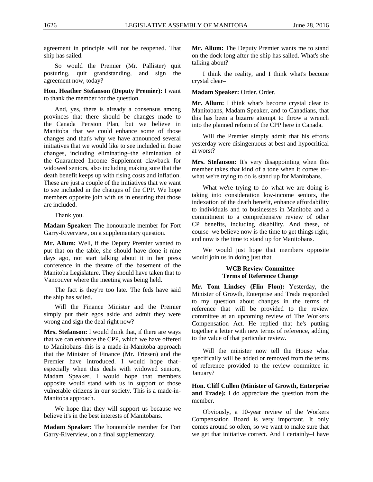agreement in principle will not be reopened. That ship has sailed.

So would the Premier (Mr. Pallister) quit posturing, quit grandstanding, and sign the agreement now, today?

# <span id="page-13-0"></span>**Hon. Heather Stefanson (Deputy Premier):** I want to thank the member for the question.

And, yes, there is already a consensus among provinces that there should be changes made to the Canada Pension Plan, but we believe in Manitoba that we could enhance some of those changes and that's why we have announced several initiatives that we would like to see included in those changes, including eliminating–the elimination of the Guaranteed Income Supplement clawback for widowed seniors, also including making sure that the death benefit keeps up with rising costs and inflation. These are just a couple of the initiatives that we want to see included in the changes of the CPP. We hope members opposite join with us in ensuring that those are included.

Thank you.

**Madam Speaker:** The honourable member for Fort Garry-Riverview, on a supplementary question.

**Mr. Allum:** Well, if the Deputy Premier wanted to put that on the table, she should have done it nine days ago, not start talking about it in her press conference in the theatre of the basement of the Manitoba Legislature. They should have taken that to Vancouver where the meeting was being held.

The fact is they're too late. The feds have said the ship has sailed.

Will the Finance Minister and the Premier simply put their egos aside and admit they were wrong and sign the deal right now?

**Mrs. Stefanson:** I would think that, if there are ways that we can enhance the CPP, which we have offered to Manitobans–this is a made-in-Manitoba approach that the Minister of Finance (Mr. Friesen) and the Premier have introduced. I would hope that– especially when this deals with widowed seniors, Madam Speaker, I would hope that members opposite would stand with us in support of those vulnerable citizens in our society. This is a made-in-Manitoba approach.

We hope that they will support us because we believe it's in the best interests of Manitobans.

**Madam Speaker:** The honourable member for Fort Garry-Riverview, on a final supplementary.

**Mr. Allum:** The Deputy Premier wants me to stand on the dock long after the ship has sailed. What's she talking about?

I think the reality, and I think what's become crystal clear–

#### **Madam Speaker:** Order. Order.

**Mr. Allum:** I think what's become crystal clear to Manitobans, Madam Speaker, and to Canadians, that this has been a bizarre attempt to throw a wrench into the planned reform of the CPP here in Canada.

Will the Premier simply admit that his efforts yesterday were disingenuous at best and hypocritical at worst?

**Mrs. Stefanson:** It's very disappointing when this member takes that kind of a tone when it comes to– what we're trying to do is stand up for Manitobans.

What we're trying to do–what we are doing is taking into consideration low-income seniors, the indexation of the death benefit, enhance affordability to individuals and to businesses in Manitoba and a commitment to a comprehensive review of other CP benefits, including disability. And these, of course–we believe now is the time to get things right, and now is the time to stand up for Manitobans.

<span id="page-13-1"></span>We would just hope that members opposite would join us in doing just that.

## <span id="page-13-2"></span>**WCB Review Committee Terms of Reference Change**

**Mr. Tom Lindsey (Flin Flon):** Yesterday, the Minister of Growth, Enterprise and Trade responded to my question about changes in the terms of reference that will be provided to the review committee at an upcoming review of The Workers Compensation Act. He replied that he's putting together a letter with new terms of reference, adding to the value of that particular review.

Will the minister now tell the House what specifically will be added or removed from the terms of reference provided to the review committee in January?

<span id="page-13-3"></span>**Hon. Cliff Cullen (Minister of Growth, Enterprise and Trade):** I do appreciate the question from the member.

Obviously, a 10-year review of the Workers Compensation Board is very important. It only comes around so often, so we want to make sure that we get that initiative correct. And I certainly–I have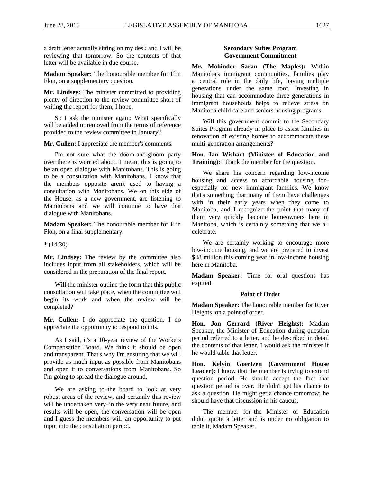a draft letter actually sitting on my desk and I will be reviewing that tomorrow. So the contents of that letter will be available in due course.

**Madam Speaker:** The honourable member for Flin Flon, on a supplementary question.

**Mr. Lindsey:** The minister committed to providing plenty of direction to the review committee short of writing the report for them, I hope.

So I ask the minister again: What specifically will be added or removed from the terms of reference provided to the review committee in January?

**Mr. Cullen:** I appreciate the member's comments.

I'm not sure what the doom-and-gloom party over there is worried about. I mean, this is going to be an open dialogue with Manitobans. This is going to be a consultation with Manitobans. I know that the members opposite aren't used to having a consultation with Manitobans. We on this side of the House, as a new government, are listening to Manitobans and we will continue to have that dialogue with Manitobans.

**Madam Speaker:** The honourable member for Flin Flon, on a final supplementary.

**\*** (14:30)

**Mr. Lindsey:** The review by the committee also includes input from all stakeholders, which will be considered in the preparation of the final report.

Will the minister outline the form that this public consultation will take place, when the committee will begin its work and when the review will be completed?

**Mr. Cullen:** I do appreciate the question. I do appreciate the opportunity to respond to this.

As I said, it's a 10-year review of the Workers Compensation Board. We think it should be open and transparent. That's why I'm ensuring that we will provide as much input as possible from Manitobans and open it to conversations from Manitobans. So I'm going to spread the dialogue around.

We are asking to–the board to look at very robust areas of the review, and certainly this review will be undertaken very–in the very near future, and results will be open, the conversation will be open and I guess the members will–an opportunity to put input into the consultation period.

#### <span id="page-14-1"></span>**Secondary Suites Program Government Commitment**

<span id="page-14-0"></span>**Mr. Mohinder Saran (The Maples):** Within Manitoba's immigrant communities, families play a central role in the daily life, having multiple generations under the same roof. Investing in housing that can accommodate three generations in immigrant households helps to relieve stress on Manitoba child care and seniors housing programs.

Will this government commit to the Secondary Suites Program already in place to assist families in renovation of existing homes to accommodate these multi-generation arrangements?

# <span id="page-14-2"></span>**Hon. Ian Wishart (Minister of Education and Training):** I thank the member for the question.

We share his concern regarding low-income housing and access to affordable housing for– especially for new immigrant families. We know that's something that many of them have challenges with in their early years when they come to Manitoba, and I recognize the point that many of them very quickly become homeowners here in Manitoba, which is certainly something that we all celebrate.

We are certainly working to encourage more low-income housing, and we are prepared to invest \$48 million this coming year in low-income housing here in Manitoba.

**Madam Speaker:** Time for oral questions has expired.

#### **Point of Order**

**Madam Speaker:** The honourable member for River Heights, on a point of order.

**Hon. Jon Gerrard (River Heights):** Madam Speaker, the Minister of Education during question period referred to a letter, and he described in detail the contents of that letter. I would ask the minister if he would table that letter.

**Hon. Kelvin Goertzen (Government House**  Leader): I know that the member is trying to extend question period. He should accept the fact that question period is over. He didn't get his chance to ask a question. He might get a chance tomorrow; he should have that discussion in his caucus.

The member for–the Minister of Education didn't quote a letter and is under no obligation to table it, Madam Speaker.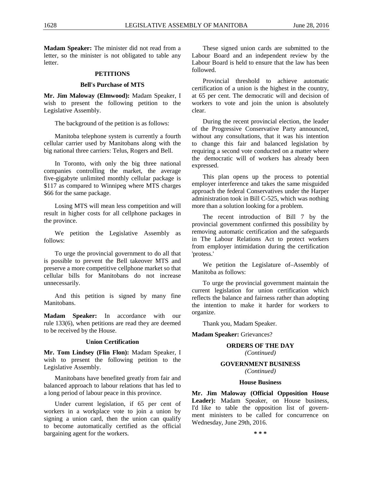**Madam Speaker:** The minister did not read from a letter, so the minister is not obligated to table any letter.

#### **PETITIONS**

#### <span id="page-15-2"></span>**Bell's Purchase of MTS**

<span id="page-15-1"></span><span id="page-15-0"></span>**Mr. Jim Maloway (Elmwood):** Madam Speaker, I wish to present the following petition to the Legislative Assembly.

The background of the petition is as follows:

Manitoba telephone system is currently a fourth cellular carrier used by Manitobans along with the big national three carriers: Telus, Rogers and Bell.

In Toronto, with only the big three national companies controlling the market, the average five-gigabyte unlimited monthly cellular package is \$117 as compared to Winnipeg where MTS charges \$66 for the same package.

Losing MTS will mean less competition and will result in higher costs for all cellphone packages in the province.

We petition the Legislative Assembly as follows:

To urge the provincial government to do all that is possible to prevent the Bell takeover MTS and preserve a more competitive cellphone market so that cellular bills for Manitobans do not increase unnecessarily.

And this petition is signed by many fine Manitobans.

**Madam Speaker:** In accordance with our rule 133(6), when petitions are read they are deemed to be received by the House.

#### <span id="page-15-4"></span>**Union Certification**

<span id="page-15-3"></span>**Mr. Tom Lindsey (Flin Flon):** Madam Speaker, I wish to present the following petition to the Legislative Assembly.

Manitobans have benefited greatly from fair and balanced approach to labour relations that has led to a long period of labour peace in this province.

Under current legislation, if 65 per cent of workers in a workplace vote to join a union by signing a union card, then the union can qualify to become automatically certified as the official bargaining agent for the workers.

These signed union cards are submitted to the Labour Board and an independent review by the Labour Board is held to ensure that the law has been followed.

Provincial threshold to achieve automatic certification of a union is the highest in the country, at 65 per cent. The democratic will and decision of workers to vote and join the union is absolutely clear.

During the recent provincial election, the leader of the Progressive Conservative Party announced, without any consultations, that it was his intention to change this fair and balanced legislation by requiring a second vote conducted on a matter where the democratic will of workers has already been expressed.

This plan opens up the process to potential employer interference and takes the same misguided approach the federal Conservatives under the Harper administration took in Bill C-525, which was nothing more than a solution looking for a problem.

The recent introduction of Bill 7 by the provincial government confirmed this possibility by removing automatic certification and the safeguards in The Labour Relations Act to protect workers from employer intimidation during the certification 'protess.'

We petition the Legislature of–Assembly of Manitoba as follows:

To urge the provincial government maintain the current legislation for union certification which reflects the balance and fairness rather than adopting the intention to make it harder for workers to organize.

Thank you, Madam Speaker.

<span id="page-15-7"></span><span id="page-15-6"></span><span id="page-15-5"></span>**Madam Speaker:** Grievances?

# **ORDERS OF THE DAY**

*(Continued)*

# **GOVERNMENT BUSINESS**

*(Continued)*

#### **House Business**

<span id="page-15-8"></span>**Mr. Jim Maloway (Official Opposition House Leader):** Madam Speaker, on House business, I'd like to table the opposition list of government ministers to be called for concurrence on Wednesday, June 29th, 2016.

**\* \* \***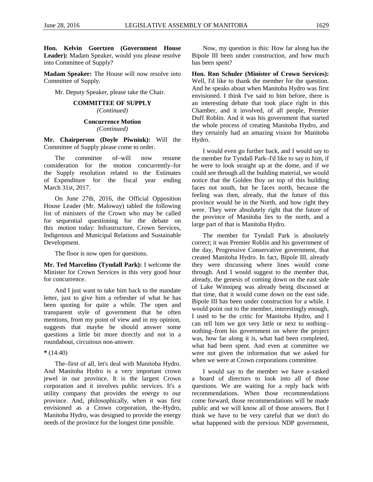**Hon. Kelvin Goertzen (Government House Leader):** Madam Speaker, would you please resolve into Committee of Supply?

**Madam Speaker:** The House will now resolve into Committee of Supply.

<span id="page-16-1"></span><span id="page-16-0"></span>Mr. Deputy Speaker, please take the Chair.

# **COMMITTEE OF SUPPLY**

*(Continued)*

#### **Concurrence Motion** *(Continued)*

<span id="page-16-3"></span><span id="page-16-2"></span>**Mr. Chairperson (Doyle Piwniuk):** Will the Committee of Supply please come to order.

The committee of–will now resume consideration for the motion concurrently–for the Supply resolution related to the Estimates of Expenditure for the fiscal year ending March 31st, 2017.

On June 27th, 2016, the Official Opposition House Leader (Mr. Maloway) tabled the following list of ministers of the Crown who may be called for sequential questioning for the debate on this motion today: Infrastructure, Crown Services, Indigenous and Municipal Relations and Sustainable Development.

<span id="page-16-4"></span>The floor is now open for questions.

**Mr. Ted Marcelino (Tyndall Park):** I welcome the Minister for Crown Services in this very good hour for concurrence.

And I just want to take him back to the mandate letter, just to give him a refresher of what he has been quoting for quite a while. The open and transparent style of government that he often mentions, from my point of view and in my opinion, suggests that maybe he should answer some questions a little bit more directly and not in a roundabout, circuitous non-answer.

# **\*** (14:40)

The–first of all, let's deal with Manitoba Hydro. And Manitoba Hydro is a very important crown jewel in our province. It is the largest Crown corporation and it involves public services. It's a utility company that provides the energy to our province. And, philosophically, when it was first envisioned as a Crown corporation, the–Hydro, Manitoba Hydro, was designed to provide the energy needs of the province for the longest time possible.

Now, my question is this: How far along has the Bipole III been under construction, and how much has been spent?

<span id="page-16-5"></span>**Hon. Ron Schuler (Minister of Crown Services):** Well, I'd like to thank the member for the question. And he speaks about when Manitoba Hydro was first envisioned. I think I've said to him before, there is an interesting debate that took place right in this Chamber, and it involved, of all people, Premier Duff Roblin. And it was his government that started the whole process of creating Manitoba Hydro, and they certainly had an amazing vision for Manitoba Hydro.

I would even go further back, and I would say to the member for Tyndall Park–I'd like to say to him, if he were to look straight up at the dome, and if we could see through all the building material, we would notice that the Golden Boy on top of this building faces not south, but he faces north, because the feeling was then, already, that the future of this province would be in the North, and how right they were. They were absolutely right that the future of the province of Manitoba lies to the north, and a large part of that is Manitoba Hydro.

The member for Tyndall Park is absolutely correct; it was Premier Roblin and his government of the day, Progressive Conservative government, that created Manitoba Hydro. In fact, Bipole III, already they were discussing where lines would come through. And I would suggest to the member that, already, the genesis of coming down on the east side of Lake Winnipeg was already being discussed at that time, that it would come down on the east side. Bipole III has been under construction for a while. I would point out to the member, interestingly enough, I used to be the critic for Manitoba Hydro, and I can tell him we got very little or next to nothing– nothing–from his government on where the project was, how far along it is, what had been completed, what had been spent. And even at committee we were not given the information that we asked for when we were at Crown corporations committee.

I would say to the member we have a–tasked a board of directors to look into all of those questions. We are waiting for a reply back with recommendations. When those recommendations come forward, those recommendations will be made public and we will know all of those answers. But I think we have to be very careful that we don't do what happened with the previous NDP government,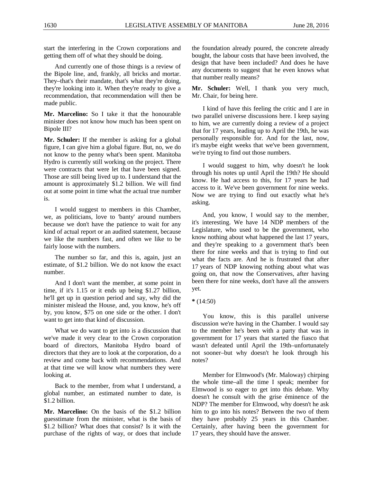start the interfering in the Crown corporations and getting them off of what they should be doing.

And currently one of those things is a review of the Bipole line, and, frankly, all bricks and mortar. They–that's their mandate, that's what they're doing, they're looking into it. When they're ready to give a recommendation, that recommendation will then be made public.

**Mr. Marcelino:** So I take it that the honourable minister does not know how much has been spent on Bipole III?

**Mr. Schuler:** If the member is asking for a global figure, I can give him a global figure. But, no, we do not know to the penny what's been spent. Manitoba Hydro is currently still working on the project. There were contracts that were let that have been signed. Those are still being lived up to. I understand that the amount is approximately \$1.2 billion. We will find out at some point in time what the actual true number is.

I would suggest to members in this Chamber, we, as politicians, love to 'banty' around numbers because we don't have the patience to wait for any kind of actual report or an audited statement, because we like the numbers fast, and often we like to be fairly loose with the numbers.

The number so far, and this is, again, just an estimate, of \$1.2 billion. We do not know the exact number.

And I don't want the member, at some point in time, if it's 1.15 or it ends up being \$1.27 billion, he'll get up in question period and say, why did the minister mislead the House, and, you know, he's off by, you know, \$75 on one side or the other. I don't want to get into that kind of discussion.

What we do want to get into is a discussion that we've made it very clear to the Crown corporation board of directors, Manitoba Hydro board of directors that they are to look at the corporation, do a review and come back with recommendations. And at that time we will know what numbers they were looking at.

Back to the member, from what I understand, a global number, an estimated number to date, is \$1.2 billion.

**Mr. Marcelino:** On the basis of the \$1.2 billion guesstimate from the minister, what is the basis of \$1.2 billion? What does that consist? Is it with the purchase of the rights of way, or does that include

the foundation already poured, the concrete already bought, the labour costs that have been involved, the design that have been included? And does he have any documents to suggest that he even knows what that number really means?

**Mr. Schuler:** Well, I thank you very much, Mr. Chair, for being here.

I kind of have this feeling the critic and I are in two parallel universe discussions here. I keep saying to him, we are currently doing a review of a project that for 17 years, leading up to April the 19th, he was personally responsible for. And for the last, now, it's maybe eight weeks that we've been government, we're trying to find out those numbers.

I would suggest to him, why doesn't he look through his notes up until April the 19th? He should know. He had access to this, for 17 years he had access to it. We've been government for nine weeks. Now we are trying to find out exactly what he's asking.

And, you know, I would say to the member, it's interesting. We have 14 NDP members of the Legislature, who used to be the government, who know nothing about what happened the last 17 years, and they're speaking to a government that's been there for nine weeks and that is trying to find out what the facts are. And he is frustrated that after 17 years of NDP knowing nothing about what was going on, that now the Conservatives, after having been there for nine weeks, don't have all the answers yet.

You know, this is this parallel universe discussion we're having in the Chamber. I would say to the member he's been with a party that was in government for 17 years that started the fiasco that wasn't defeated until April the 19th–unfortunately not sooner–but why doesn't he look through his notes?

Member for Elmwood's (Mr. Maloway) chirping the whole time–all the time I speak; member for Elmwood is so eager to get into this debate. Why doesn't he consult with the grise éminence of the NDP? The member for Elmwood, why doesn't he ask him to go into his notes? Between the two of them they have probably 25 years in this Chamber. Certainly, after having been the government for 17 years, they should have the answer.

**<sup>\*</sup>** (14:50)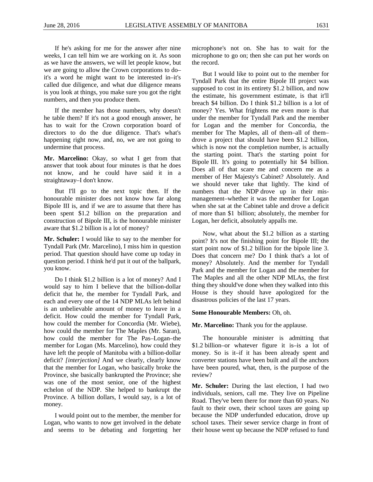If he's asking for me for the answer after nine weeks, I can tell him we are working on it. As soon as we have the answers, we will let people know, but we are going to allow the Crown corporations to do– it's a word he might want to be interested in–it's called due diligence, and what due diligence means is you look at things, you make sure you got the right numbers, and then you produce them.

If the member has those numbers, why doesn't he table them? If it's not a good enough answer, he has to wait for the Crown corporation board of directors to do the due diligence. That's what's happening right now, and, no, we are not going to undermine that process.

**Mr. Marcelino:** Okay, so what I get from that answer that took about four minutes is that he does not know, and he could have said it in a straightaway–I don't know.

But I'll go to the next topic then. If the honourable minister does not know how far along Bipole III is, and if we are to assume that there has been spent \$1.2 billion on the preparation and construction of Bipole III, is the honourable minister aware that \$1.2 billion is a lot of money?

**Mr. Schuler:** I would like to say to the member for Tyndall Park (Mr. Marcelino), I miss him in question period. That question should have come up today in question period. I think he'd put it out of the ballpark, you know.

Do I think \$1.2 billion is a lot of money? And I would say to him I believe that the billion-dollar deficit that he, the member for Tyndall Park, and each and every one of the 14 NDP MLAs left behind is an unbelievable amount of money to leave in a deficit. How could the member for Tyndall Park, how could the member for Concordia (Mr. Wiebe), how could the member for The Maples (Mr. Saran), how could the member for The Pas–Logan–the member for Logan (Ms. Marcelino), how could they have left the people of Manitoba with a billion-dollar deficit? *[interjection]* And we clearly, clearly know that the member for Logan, who basically broke the Province, she basically bankrupted the Province; she was one of the most senior, one of the highest echelon of the NDP. She helped to bankrupt the Province. A billion dollars, I would say, is a lot of money.

I would point out to the member, the member for Logan, who wants to now get involved in the debate and seems to be debating and forgetting her

microphone's not on. She has to wait for the microphone to go on; then she can put her words on the record.

But I would like to point out to the member for Tyndall Park that the entire Bipole III project was supposed to cost in its entirety \$1.2 billion, and now the estimate, his government estimate, is that it'll breach \$4 billion. Do I think \$1.2 billion is a lot of money? Yes. What frightens me even more is that under the member for Tyndall Park and the member for Logan and the member for Concordia, the member for The Maples, all of them–all of them– drove a project that should have been \$1.2 billion, which is now not the completion number, is actually the starting point. That's the starting point for Bipole III. It's going to potentially hit \$4 billion. Does all of that scare me and concern me as a member of Her Majesty's Cabinet? Absolutely. And we should never take that lightly. The kind of numbers that the NDP drove up in their mismanagement–whether it was the member for Logan when she sat at the Cabinet table and drove a deficit of more than \$1 billion; absolutely, the member for Logan, her deficit, absolutely appalls me.

Now, what about the \$1.2 billion as a starting point? It's not the finishing point for Bipole III; the start point now of \$1.2 billion for the bipole line 3. Does that concern me? Do I think that's a lot of money? Absolutely. And the member for Tyndall Park and the member for Logan and the member for The Maples and all the other NDP MLAs, the first thing they should've done when they walked into this House is they should have apologized for the disastrous policies of the last 17 years.

#### **Some Honourable Members:** Oh, oh.

### **Mr. Marcelino:** Thank you for the applause.

The honourable minister is admitting that \$1.2 billion–or whatever figure it is–is a lot of money. So is it–if it has been already spent and converter stations have been built and all the anchors have been poured, what, then, is the purpose of the review?

**Mr. Schuler:** During the last election, I had two individuals, seniors, call me. They live on Pipeline Road. They've been there for more than 60 years. No fault to their own, their school taxes are going up because the NDP underfunded education, drove up school taxes. Their sewer service charge in front of their house went up because the NDP refused to fund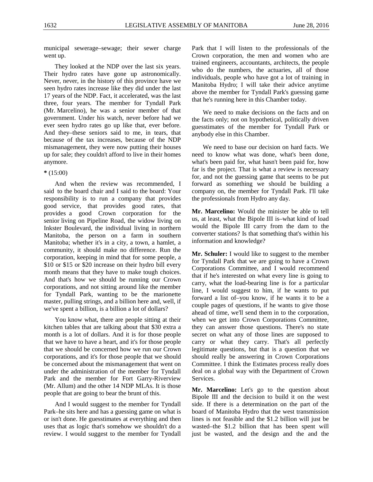municipal sewerage–sewage; their sewer charge went up.

They looked at the NDP over the last six years. Their hydro rates have gone up astronomically. Never, never, in the history of this province have we seen hydro rates increase like they did under the last 17 years of the NDP. Fact, it accelerated, was the last three, four years. The member for Tyndall Park (Mr. Marcelino), he was a senior member of that government. Under his watch, never before had we ever seen hydro rates go up like that, ever before. And they–these seniors said to me, in tears, that because of the tax increases, because of the NDP mismanagement, they were now putting their houses up for sale; they couldn't afford to live in their homes anymore.

## **\*** (15:00)

And when the review was recommended, I said to the board chair and I said to the board: Your responsibility is to run a company that provides good service, that provides good rates, that provides a good Crown corporation for the senior living on Pipeline Road, the widow living on Inkster Boulevard, the individual living in northern Manitoba, the person on a farm in southern Manitoba; whether it's in a city, a town, a hamlet, a community, it should make no difference. Run the corporation, keeping in mind that for some people, a \$10 or \$15 or \$20 increase on their hydro bill every month means that they have to make tough choices. And that's how we should be running our Crown corporations, and not sitting around like the member for Tyndall Park, wanting to be the marionette master, pulling strings, and a billion here and, well, if we've spent a billion, is a billion a lot of dollars?

You know what, there are people sitting at their kitchen tables that are talking about that \$30 extra a month is a lot of dollars. And it is for those people that we have to have a heart, and it's for those people that we should be concerned how we run our Crown corporations, and it's for those people that we should be concerned about the mismanagement that went on under the administration of the member for Tyndall Park and the member for Fort Garry-Riverview (Mr. Allum) and the other 14 NDP MLAs. It is those people that are going to bear the brunt of this.

And I would suggest to the member for Tyndall Park–he sits here and has a guessing game on what is or isn't done. He guesstimates at everything and then uses that as logic that's somehow we shouldn't do a review. I would suggest to the member for Tyndall Park that I will listen to the professionals of the Crown corporation, the men and women who are trained engineers, accountants, architects, the people who do the numbers, the actuaries, all of those individuals, people who have got a lot of training in Manitoba Hydro; I will take their advice anytime above the member for Tyndall Park's guessing game that he's running here in this Chamber today.

We need to make decisions on the facts and on the facts only; not on hypothetical, politically driven guesstimates of the member for Tyndall Park or anybody else in this Chamber.

We need to base our decision on hard facts. We need to know what was done, what's been done, what's been paid for, what hasn't been paid for, how far is the project. That is what a review is necessary for, and not the guessing game that seems to be put forward as something we should be building a company on, the member for Tyndall Park. I'll take the professionals from Hydro any day.

**Mr. Marcelino:** Would the minister be able to tell us, at least, what the Bipole III is–what kind of load would the Bipole III carry from the dam to the converter stations? Is that something that's within his information and knowledge?

**Mr. Schuler:** I would like to suggest to the member for Tyndall Park that we are going to have a Crown Corporations Committee, and I would recommend that if he's interested on what every line is going to carry, what the load-bearing line is for a particular line, I would suggest to him, if he wants to put forward a list of–you know, if he wants it to be a couple pages of questions, if he wants to give those ahead of time, we'll send them in to the corporation, when we get into Crown Corporations Committee, they can answer those questions. There's no state secret on what any of those lines are supposed to carry or what they carry. That's all perfectly legitimate questions, but that is a question that we should really be answering in Crown Corporations Committee. I think the Estimates process really does deal on a global way with the Department of Crown Services.

**Mr. Marcelino:** Let's go to the question about Bipole III and the decision to build it on the west side. If there is a determination on the part of the board of Manitoba Hydro that the west transmission lines is not feasible and the \$1.2 billion will just be wasted–the \$1.2 billion that has been spent will just be wasted, and the design and the and the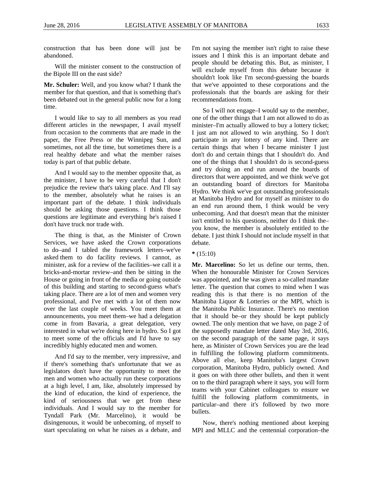construction that has been done will just be abandoned.

Will the minister consent to the construction of the Bipole III on the east side?

**Mr. Schuler:** Well, and you know what? I thank the member for that question, and that is something that's been debated out in the general public now for a long time.

I would like to say to all members as you read different articles in the newspaper, I avail myself from occasion to the comments that are made in the paper, the Free Press or the Winnipeg Sun, and sometimes, not all the time, but sometimes there is a real healthy debate and what the member raises today is part of that public debate.

And I would say to the member opposite that, as the minister, I have to be very careful that I don't prejudice the review that's taking place. And I'll say to the member, absolutely what he raises is an important part of the debate. I think individuals should be asking those questions. I think those questions are legitimate and everything he's raised I don't have truck nor trade with.

The thing is that, as the Minister of Crown Services, we have asked the Crown corporations to do–and I tabled the framework letters–we've asked them to do facility reviews. I cannot, as minister, ask for a review of the facilities–we call it a bricks-and-mortar review–and then be sitting in the House or going in front of the media or going outside of this building and starting to second-guess what's taking place. There are a lot of men and women very professional, and I've met with a lot of them now over the last couple of weeks. You meet them at announcements, you meet them–we had a delegation come in from Bavaria, a great delegation, very interested in what we're doing here in hydro. So I got to meet some of the officials and I'd have to say incredibly highly educated men and women.

And I'd say to the member, very impressive, and if there's something that's unfortunate that we as legislators don't have the opportunity to meet the men and women who actually run these corporations at a high level, I am, like, absolutely impressed by the kind of education, the kind of experience, the kind of seriousness that we get from these individuals. And I would say to the member for Tyndall Park (Mr. Marcelino), it would be disingenuous, it would be unbecoming, of myself to start speculating on what he raises as a debate, and I'm not saying the member isn't right to raise these issues and I think this is an important debate and people should be debating this. But, as minister, I will exclude myself from this debate because it shouldn't look like I'm second-guessing the boards that we've appointed to these corporations and the professionals that the boards are asking for their recommendations from.

So I will not engage–I would say to the member, one of the other things that I am not allowed to do as minister–I'm actually allowed to buy a lottery ticket; I just am not allowed to win anything. So I don't participate in any lottery of any kind. There are certain things that when I became minister I just don't do and certain things that I shouldn't do. And one of the things that I shouldn't do is second-guess and try doing an end run around the boards of directors that were appointed, and we think we've got an outstanding board of directors for Manitoba Hydro. We think we've got outstanding professionals at Manitoba Hydro and for myself as minister to do an end run around them, I think would be very unbecoming. And that doesn't mean that the minister isn't entitled to his questions, neither do I think the– you know, the member is absolutely entitled to the debate. I just think I should not include myself in that debate.

#### **\*** (15:10)

**Mr. Marcelino:** So let us define our terms, then. When the honourable Minister for Crown Services was appointed, and he was given a so-called mandate letter. The question that comes to mind when I was reading this is that there is no mention of the Manitoba Liquor & Lotteries or the MPI, which is the Manitoba Public Insurance. There's no mention that it should be–or they should be kept publicly owned. The only mention that we have, on page 2 of the supposedly mandate letter dated May 3rd, 2016, on the second paragraph of the same page, it says here, as Minister of Crown Services you are the lead in fulfilling the following platform commitments. Above all else, keep Manitoba's largest Crown corporation, Manitoba Hydro, publicly owned. And it goes on with three other bullets, and then it went on to the third paragraph where it says, you will form teams with your Cabinet colleagues to ensure we fulfill the following platform commitments, in particular–and there it's followed by two more bullets.

Now, there's nothing mentioned about keeping MPI and MLLC and the centennial corporation–the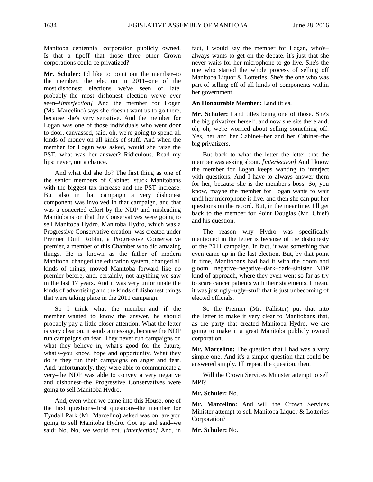Manitoba centennial corporation publicly owned. Is that a tipoff that those three other Crown corporations could be privatized?

**Mr. Schuler:** I'd like to point out the member–to the member, the election in 2011–one of the most dishonest elections we've seen of late, probably the most dishonest election we've ever seen–*[interjection]* And the member for Logan (Ms. Marcelino) says she doesn't want us to go there, because she's very sensitive. And the member for Logan was one of those individuals who went door to door, canvassed, said, oh, we're going to spend all kinds of money on all kinds of stuff. And when the member for Logan was asked, would she raise the PST, what was her answer? Ridiculous. Read my lips: never, not a chance.

And what did she do? The first thing as one of the senior members of Cabinet, stuck Manitobans with the biggest tax increase and the PST increase. But also in that campaign a very dishonest component was involved in that campaign, and that was a concerted effort by the NDP and–misleading Manitobans on that the Conservatives were going to sell Manitoba Hydro. Manitoba Hydro, which was a Progressive Conservative creation, was created under Premier Duff Roblin, a Progressive Conservative premier, a member of this Chamber who did amazing things. He is known as the father of modern Manitoba, changed the education system, changed all kinds of things, moved Manitoba forward like no premier before, and, certainly, not anything we saw in the last 17 years. And it was very unfortunate the kinds of advertising and the kinds of dishonest things that were taking place in the 2011 campaign.

So I think what the member–and if the member wanted to know the answer, he should probably pay a little closer attention. What the letter is very clear on, it sends a message, because the NDP run campaigns on fear. They never run campaigns on what they believe in, what's good for the future, what's–you know, hope and opportunity. What they do is they run their campaigns on anger and fear. And, unfortunately, they were able to communicate a very–the NDP was able to convey a very negative and dishonest–the Progressive Conservatives were going to sell Manitoba Hydro.

And, even when we came into this House, one of the first questions–first questions–the member for Tyndall Park (Mr. Marcelino) asked was on, are you going to sell Manitoba Hydro. Got up and said–we said: No. No, we would not. *[interjection]* And, in

fact, I would say the member for Logan, who's– always wants to get on the debate, it's just that she never waits for her microphone to go live. She's the one who started the whole process of selling off Manitoba Liquor & Lotteries. She's the one who was part of selling off of all kinds of components within her government.

### **An Honourable Member:** Land titles.

**Mr. Schuler:** Land titles being one of those. She's the big privatizer herself, and now she sits there and, oh, oh, we're worried about selling something off. Yes, her and her Cabinet–her and her Cabinet–the big privatizers.

But back to what the letter–the letter that the member was asking about. *[interjection]* And I know the member for Logan keeps wanting to interject with questions. And I have to always answer them for her, because she is the member's boss. So, you know, maybe the member for Logan wants to wait until her microphone is live, and then she can put her questions on the record. But, in the meantime, I'll get back to the member for Point Douglas (Mr. Chief) and his question.

The reason why Hydro was specifically mentioned in the letter is because of the dishonesty of the 2011 campaign. In fact, it was something that even came up in the last election. But, by that point in time, Manitobans had had it with the doom and gloom, negative–negative–dark–dark–sinister NDP kind of approach, where they even went so far as try to scare cancer patients with their statements. I mean, it was just ugly–ugly–stuff that is just unbecoming of elected officials.

So the Premier (Mr. Pallister) put that into the letter to make it very clear to Manitobans that, as the party that created Manitoba Hydro, we are going to make it a great Manitoba publicly owned corporation.

**Mr. Marcelino:** The question that I had was a very simple one. And it's a simple question that could be answered simply. I'll repeat the question, then.

Will the Crown Services Minister attempt to sell MPI?

#### **Mr. Schuler:** No.

**Mr. Marcelino:** And will the Crown Services Minister attempt to sell Manitoba Liquor & Lotteries Corporation?

**Mr. Schuler:** No.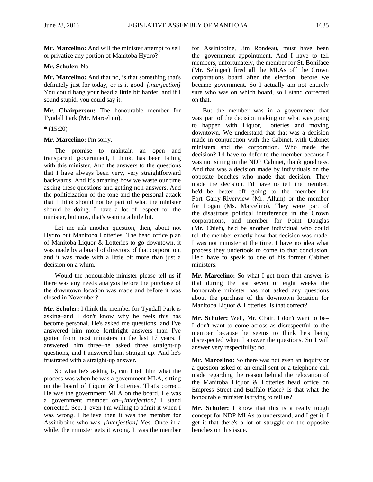**Mr. Marcelino:** And will the minister attempt to sell or privatize any portion of Manitoba Hydro?

#### **Mr. Schuler:** No.

**Mr. Marcelino:** And that no, is that something that's definitely just for today, or is it good–*[interjection]* You could bang your head a little bit harder, and if I sound stupid, you could say it.

**Mr. Chairperson:** The honourable member for Tyndall Park (Mr. Marcelino).

#### **\*** (15:20)

#### **Mr. Marcelino:** I'm sorry.

The promise to maintain an open and transparent government, I think, has been failing with this minister. And the answers to the questions that I have always been very, very straightforward backwards. And it's amazing how we waste our time asking these questions and getting non-answers. And the politicization of the tone and the personal attack that I think should not be part of what the minister should be doing. I have a lot of respect for the minister, but now, that's waning a little bit.

Let me ask another question, then, about not Hydro but Manitoba Lotteries. The head office plan of Manitoba Liquor & Lotteries to go downtown, it was made by a board of directors of that corporation, and it was made with a little bit more than just a decision on a whim.

Would the honourable minister please tell us if there was any needs analysis before the purchase of the downtown location was made and before it was closed in November?

**Mr. Schuler:** I think the member for Tyndall Park is asking–and I don't know why he feels this has become personal. He's asked me questions, and I've answered him more forthright answers than I've gotten from most ministers in the last 17 years. I answered him three–he asked three straight-up questions, and I answered him straight up. And he's frustrated with a straight-up answer.

So what he's asking is, can I tell him what the process was when he was a government MLA, sitting on the board of Liquor & Lotteries. That's correct. He was the government MLA on the board. He was a government member on–*[interjection]* I stand corrected. See, I–even I'm willing to admit it when I was wrong. I believe then it was the member for Assiniboine who was–*[interjection]* Yes. Once in a while, the minister gets it wrong. It was the member

for Assiniboine, Jim Rondeau, must have been the government appointment. And I have to tell members, unfortunately, the member for St. Boniface (Mr. Selinger) fired all the MLAs off the Crown corporations board after the election, before we became government. So I actually am not entirely sure who was on which board, so I stand corrected on that.

But the member was in a government that was part of the decision making on what was going to happen with Liquor, Lotteries and moving downtown. We understand that that was a decision made in conjunction with the Cabinet, with Cabinet ministers and the corporation. Who made the decision? I'd have to defer to the member because I was not sitting in the NDP Cabinet, thank goodness. And that was a decision made by individuals on the opposite benches who made that decision. They made the decision. I'd have to tell the member, he'd be better off going to the member for Fort Garry-Riverview (Mr. Allum) or the member for Logan (Ms. Marcelino). They were part of the disastrous political interference in the Crown corporations, and member for Point Douglas (Mr. Chief), he'd be another individual who could tell the member exactly how that decision was made. I was not minister at the time. I have no idea what process they undertook to come to that conclusion. He'd have to speak to one of his former Cabinet ministers.

**Mr. Marcelino:** So what I get from that answer is that during the last seven or eight weeks the honourable minister has not asked any questions about the purchase of the downtown location for Manitoba Liquor & Lotteries. Is that correct?

**Mr. Schuler:** Well, Mr. Chair, I don't want to be– I don't want to come across as disrespectful to the member because he seems to think he's being disrespected when I answer the questions. So I will answer very respectfully: no.

**Mr. Marcelino:** So there was not even an inquiry or a question asked or an email sent or a telephone call made regarding the reason behind the relocation of the Manitoba Liquor & Lotteries head office on Empress Street and Buffalo Place? Is that what the honourable minister is trying to tell us?

**Mr. Schuler:** I know that this is a really tough concept for NDP MLAs to understand, and I get it. I get it that there's a lot of struggle on the opposite benches on this issue.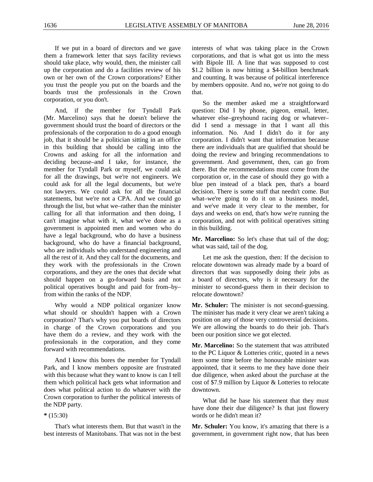If we put in a board of directors and we gave them a framework letter that says facility reviews should take place, why would, then, the minister call up the corporation and do a facilities review of his own or her own of the Crown corporations? Either you trust the people you put on the boards and the boards trust the professionals in the Crown corporation, or you don't.

And, if the member for Tyndall Park (Mr. Marcelino) says that he doesn't believe the government should trust the board of directors or the professionals of the corporation to do a good enough job, that it should be a politician sitting in an office in this building that should be calling into the Crowns and asking for all the information and deciding because–and I take, for instance, the member for Tyndall Park or myself, we could ask for all the drawings, but we're not engineers. We could ask for all the legal documents, but we're not lawyers. We could ask for all the financial statements, but we're not a CPA. And we could go through the list, but what we–rather than the minister calling for all that information and then doing, I can't imagine what with it, what we've done as a government is appointed men and women who do have a legal background, who do have a business background, who do have a financial background, who are individuals who understand engineering and all the rest of it. And they call for the documents, and they work with the professionals in the Crown corporations, and they are the ones that decide what should happen on a go-forward basis and not political operatives bought and paid for from–by– from within the ranks of the NDP.

Why would a NDP political organizer know what should or shouldn't happen with a Crown corporation? That's why you put boards of directors in charge of the Crown corporations and you have them do a review, and they work with the professionals in the corporation, and they come forward with recommendations.

And I know this bores the member for Tyndall Park, and I know members opposite are frustrated with this because what they want to know is can I tell them which political hack gets what information and does what political action to do whatever with the Crown corporation to further the political interests of the NDP party.

#### **\*** (15:30)

That's what interests them. But that wasn't in the best interests of Manitobans. That was not in the best interests of what was taking place in the Crown corporations, and that is what got us into the mess with Bipole III. A line that was supposed to cost \$1.2 billion is now hitting a \$4-billion benchmark and counting. It was because of political interference by members opposite. And no, we're not going to do that.

So the member asked me a straightforward question: Did I by phone, pigeon, email, letter, whatever else–greyhound racing dog or whatever– did I send a message in that I want all this information. No. And I didn't do it for any corporation. I didn't want that information because there are individuals that are qualified that should be doing the review and bringing recommendations to government. And government, then, can go from there. But the recommendations must come from the corporation or, in the case of should they go with a blue pen instead of a black pen, that's a board decision. There is some stuff that needn't come. But what–we're going to do it on a business model, and we've made it very clear to the member, for days and weeks on end, that's how we're running the corporation, and not with political operatives sitting in this building.

**Mr. Marcelino:** So let's chase that tail of the dog; what was said, tail of the dog.

Let me ask the question, then: If the decision to relocate downtown was already made by a board of directors that was supposedly doing their jobs as a board of directors, why is it necessary for the minister to second-guess them in their decision to relocate downtown?

**Mr. Schuler:** The minister is not second-guessing. The minister has made it very clear we aren't taking a position on any of those very controversial decisions. We are allowing the boards to do their job. That's been our position since we got elected.

**Mr. Marcelino:** So the statement that was attributed to the PC Liquor & Lotteries critic, quoted in a news item some time before the honourable minister was appointed, that it seems to me they have done their due diligence, when asked about the purchase at the cost of \$7.9 million by Liquor & Lotteries to relocate downtown.

What did he base his statement that they must have done their due diligence? Is that just flowery words or he didn't mean it?

**Mr. Schuler:** You know, it's amazing that there is a government, in government right now, that has been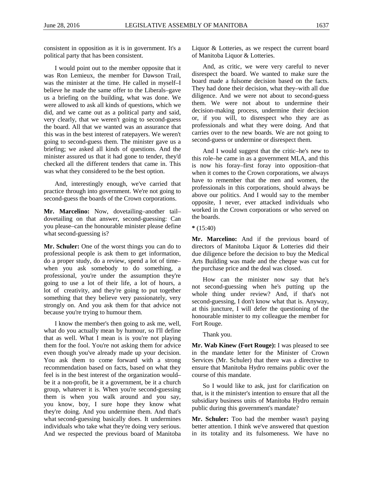consistent in opposition as it is in government. It's a political party that has been consistent.

I would point out to the member opposite that it was Ron Lemieux, the member for Dawson Trail, was the minister at the time. He called in myself–I believe he made the same offer to the Liberals–gave us a briefing on the building, what was done. We were allowed to ask all kinds of questions, which we did, and we came out as a political party and said, very clearly, that we weren't going to second-guess the board. All that we wanted was an assurance that this was in the best interest of ratepayers. We weren't going to second-guess them. The minister gave us a briefing; we asked all kinds of questions. And the minister assured us that it had gone to tender, they'd checked all the different tenders that came in. This was what they considered to be the best option.

And, interestingly enough, we've carried that practice through into government. We're not going to second-guess the boards of the Crown corporations.

**Mr. Marcelino:** Now, dovetailing–another tail– dovetailing on that answer, second-guessing: Can you please–can the honourable minister please define what second-guessing is?

**Mr. Schuler:** One of the worst things you can do to professional people is ask them to get information, do a proper study, do a review, spend a lot of time– when you ask somebody to do something, a professional, you're under the assumption they're going to use a lot of their life, a lot of hours, a lot of creativity, and they're going to put together something that they believe very passionately, very strongly on. And you ask them for that advice not because you're trying to humour them.

I know the member's then going to ask me, well, what do you actually mean by humour, so I'll define that as well. What I mean is is you're not playing them for the fool. You're not asking them for advice even though you've already made up your decision. You ask them to come forward with a strong recommendation based on facts, based on what they feel is in the best interest of the organization would– be it a non-profit, be it a government, be it a church group, whatever it is. When you're second-guessing them is when you walk around and you say, you know, boy, I sure hope they know what they're doing. And you undermine them. And that's what second-guessing basically does. It undermines individuals who take what they're doing very serious. And we respected the previous board of Manitoba

Liquor & Lotteries, as we respect the current board of Manitoba Liquor & Lotteries.

And, as critic, we were very careful to never disrespect the board. We wanted to make sure the board made a fulsome decision based on the facts. They had done their decision, what they–with all due diligence. And we were not about to second-guess them. We were not about to undermine their decision-making process, undermine their decision or, if you will, to disrespect who they are as professionals and what they were doing. And that carries over to the new boards. We are not going to second-guess or undermine or disrespect them.

And I would suggest that the critic–he's new to this role–he came in as a government MLA, and this is now his foray–first foray into opposition–that when it comes to the Crown corporations, we always have to remember that the men and women, the professionals in this corporations, should always be above our politics. And I would say to the member opposite, I never, ever attacked individuals who worked in the Crown corporations or who served on the boards.

**\*** (15:40)

**Mr. Marcelino:** And if the previous board of directors of Manitoba Liquor & Lotteries did their due diligence before the decision to buy the Medical Arts Building was made and the cheque was cut for the purchase price and the deal was closed.

How can the minister now say that he's not second-guessing when he's putting up the whole thing under review? And, if that's not second-guessing, I don't know what that is. Anyway, at this juncture, I will defer the questioning of the honourable minister to my colleague the member for Fort Rouge.

<span id="page-24-0"></span>Thank you.

**Mr. Wab Kinew (Fort Rouge):** I was pleased to see in the mandate letter for the Minister of Crown Services (Mr. Schuler) that there was a directive to ensure that Manitoba Hydro remains public over the course of this mandate.

So I would like to ask, just for clarification on that, is it the minister's intention to ensure that all the subsidiary business units of Manitoba Hydro remain public during this government's mandate?

**Mr. Schuler:** Too bad the member wasn't paying better attention. I think we've answered that question in its totality and its fulsomeness. We have no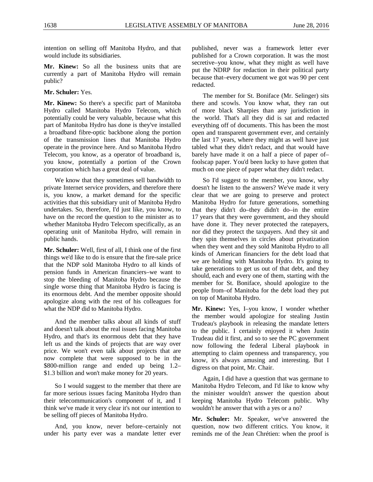intention on selling off Manitoba Hydro, and that would include its subsidiaries.

**Mr. Kinew:** So all the business units that are currently a part of Manitoba Hydro will remain public?

**Mr. Schuler:** Yes.

**Mr. Kinew:** So there's a specific part of Manitoba Hydro called Manitoba Hydro Telecom, which potentially could be very valuable, because what this part of Manitoba Hydro has done is they've installed a broadband fibre-optic backbone along the portion of the transmission lines that Manitoba Hydro operate in the province here. And so Manitoba Hydro Telecom, you know, as a operator of broadband is, you know, potentially a portion of the Crown corporation which has a great deal of value.

We know that they sometimes sell bandwidth to private Internet service providers, and therefore there is, you know, a market demand for the specific activities that this subsidiary unit of Manitoba Hydro undertakes. So, therefore, I'd just like, you know, to have on the record the question to the minister as to whether Manitoba Hydro Telecom specifically, as an operating unit of Manitoba Hydro, will remain in public hands.

**Mr. Schuler:** Well, first of all, I think one of the first things we'd like to do is ensure that the fire-sale price that the NDP sold Manitoba Hydro to all kinds of pension funds in American financiers–we want to stop the bleeding of Manitoba Hydro because the single worse thing that Manitoba Hydro is facing is its enormous debt. And the member opposite should apologize along with the rest of his colleagues for what the NDP did to Manitoba Hydro.

And the member talks about all kinds of stuff and doesn't talk about the real issues facing Manitoba Hydro, and that's its enormous debt that they have left us and the kinds of projects that are way over price. We won't even talk about projects that are now complete that were supposed to be in the \$800-million range and ended up being 1.2– \$1.3 billion and won't make money for 20 years.

So I would suggest to the member that there are far more serious issues facing Manitoba Hydro than their telecommunication's component of it, and I think we've made it very clear it's not our intention to be selling off pieces of Manitoba Hydro.

And, you know, never before–certainly not under his party ever was a mandate letter ever published, never was a framework letter ever published for a Crown corporation. It was the most secretive–you know, what they might as well have put the NDRP for redaction in their political party because that–every document we got was 90 per cent redacted.

The member for St. Boniface (Mr. Selinger) sits there and scowls. You know what, they ran out of more black Sharpies than any jurisdiction in the world. That's all they did is sat and redacted everything off of documents. This has been the most open and transparent government ever, and certainly the last 17 years, where they might as well have just tabled what they didn't redact, and that would have barely have made it on a half a piece of paper of– foolscap paper. You'd been lucky to have gotten that much on one piece of paper what they didn't redact.

So I'd suggest to the member, you know, why doesn't he listen to the answers? We've made it very clear that we are going to preserve and protect Manitoba Hydro for future generations, something that they didn't do–they didn't do–in the entire 17 years that they were government, and they should have done it. They never protected the ratepayers, nor did they protect the taxpayers. And they sit and they spin themselves in circles about privatization when they went and they sold Manitoba Hydro to all kinds of American financiers for the debt load that we are holding with Manitoba Hydro. It's going to take generations to get us out of that debt, and they should, each and every one of them, starting with the member for St. Boniface, should apologize to the people from–of Manitoba for the debt load they put on top of Manitoba Hydro.

**Mr. Kinew:** Yes, I–you know, I wonder whether the member would apologize for stealing Justin Trudeau's playbook in releasing the mandate letters to the public. I certainly enjoyed it when Justin Trudeau did it first, and so to see the PC government now following the federal Liberal playbook in attempting to claim openness and transparency, you know, it's always amusing and interesting. But I digress on that point, Mr. Chair.

Again, I did have a question that was germane to Manitoba Hydro Telecom, and I'd like to know why the minister wouldn't answer the question about keeping Manitoba Hydro Telecom public. Why wouldn't he answer that with a yes or a no?

**Mr. Schuler:** Mr. Speaker, we've answered the question, now two different critics. You know, it reminds me of the Jean Chrétien: when the proof is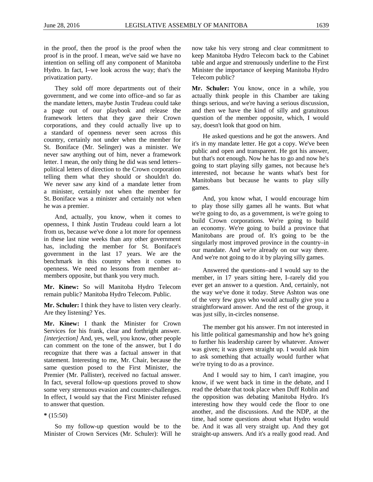in the proof, then the proof is the proof when the proof is in the proof. I mean, we've said we have no intention on selling off any component of Manitoba Hydro. In fact, I–we look across the way; that's the privatization party.

They sold off more departments out of their government, and we come into office–and so far as the mandate letters, maybe Justin Trudeau could take a page out of our playbook and release the framework letters that they gave their Crown corporations, and they could actually live up to a standard of openness never seen across this country, certainly not under when the member for St. Boniface (Mr. Selinger) was a minister. We never saw anything out of him, never a framework letter. I mean, the only thing he did was send letters– political letters of direction to the Crown corporation telling them what they should or shouldn't do. We never saw any kind of a mandate letter from a minister, certainly not when the member for St. Boniface was a minister and certainly not when he was a premier.

And, actually, you know, when it comes to openness, I think Justin Trudeau could learn a lot from us, because we've done a lot more for openness in these last nine weeks than any other government has, including the member for St. Boniface's government in the last 17 years. We are the benchmark in this country when it comes to openness. We need no lessons from member at– members opposite, but thank you very much.

**Mr. Kinew:** So will Manitoba Hydro Telecom remain public? Manitoba Hydro Telecom. Public.

**Mr. Schuler:** I think they have to listen very clearly. Are they listening? Yes.

**Mr. Kinew:** I thank the Minister for Crown Services for his frank, clear and forthright answer. *[interjection]* And, yes, well, you know, other people can comment on the tone of the answer, but I do recognize that there was a factual answer in that statement. Interesting to me, Mr. Chair, because the same question posed to the First Minister, the Premier (Mr. Pallister), received no factual answer. In fact, several follow-up questions proved to show some very strenuous evasion and counter-challenges. In effect, I would say that the First Minister refused to answer that question.

**\*** (15:50)

So my follow-up question would be to the Minister of Crown Services (Mr. Schuler): Will he now take his very strong and clear commitment to keep Manitoba Hydro Telecom back to the Cabinet table and argue and strenuously underline to the First Minister the importance of keeping Manitoba Hydro Telecom public?

**Mr. Schuler:** You know, once in a while, you actually think people in this Chamber are taking things serious, and we're having a serious discussion, and then we have the kind of silly and gratuitous question of the member opposite, which, I would say, doesn't look that good on him.

He asked questions and he got the answers. And it's in my mandate letter. He got a copy. We've been public and open and transparent. He got his answer, but that's not enough. Now he has to go and now he's going to start playing silly games, not because he's interested, not because he wants what's best for Manitobans but because he wants to play silly games.

And, you know what, I would encourage him to play those silly games all he wants. But what we're going to do, as a government, is we're going to build Crown corporations. We're going to build an economy. We're going to build a province that Manitobans are proud of. It's going to be the singularly most improved province in the country–in our mandate. And we're already on our way there. And we're not going to do it by playing silly games.

Answered the questions–and I would say to the member, in 17 years sitting here, I–rarely did you ever get an answer to a question. And, certainly, not the way we've done it today. Steve Ashton was one of the very few guys who would actually give you a straightforward answer. And the rest of the group, it was just silly, in-circles nonsense.

The member got his answer. I'm not interested in his little political gamesmanship and how he's going to further his leadership career by whatever. Answer was given; it was given straight up. I would ask him to ask something that actually would further what we're trying to do as a province.

And I would say to him, I can't imagine, you know, if we went back in time in the debate, and I read the debate that took place when Duff Roblin and the opposition was debating Manitoba Hydro. It's interesting how they would cede the floor to one another, and the discussions. And the NDP, at the time, had some questions about what Hydro would be. And it was all very straight up. And they got straight-up answers. And it's a really good read. And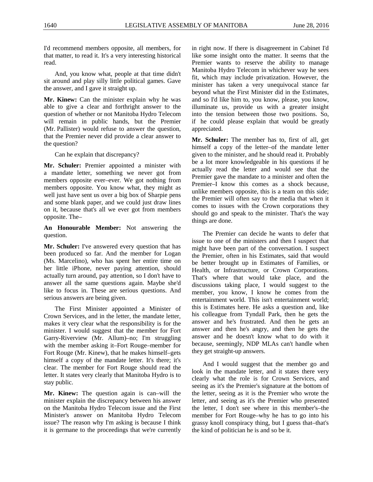I'd recommend members opposite, all members, for that matter, to read it. It's a very interesting historical read.

And, you know what, people at that time didn't sit around and play silly little political games. Gave the answer, and I gave it straight up.

**Mr. Kinew:** Can the minister explain why he was able to give a clear and forthright answer to the question of whether or not Manitoba Hydro Telecom will remain in public hands, but the Premier (Mr. Pallister) would refuse to answer the question, that the Premier never did provide a clear answer to the question?

Can he explain that discrepancy?

**Mr. Schuler:** Premier appointed a minister with a mandate letter, something we never got from members opposite ever–ever. We got nothing from members opposite. You know what, they might as well just have sent us over a big box of Sharpie pens and some blank paper, and we could just draw lines on it, because that's all we ever got from members opposite. The–

**An Honourable Member:** Not answering the question.

**Mr. Schuler:** I've answered every question that has been produced so far. And the member for Logan (Ms. Marcelino), who has spent her entire time on her little iPhone, never paying attention, should actually turn around, pay attention, so I don't have to answer all the same questions again. Maybe she'd like to focus in. These are serious questions. And serious answers are being given.

The First Minister appointed a Minister of Crown Services, and in the letter, the mandate letter, makes it very clear what the responsibility is for the minister. I would suggest that the member for Fort Garry-Riverview (Mr. Allum)–no; I'm struggling with the member asking it–Fort Rouge–member for Fort Rouge (Mr. Kinew), that he makes himself–gets himself a copy of the mandate letter. It's there; it's clear. The member for Fort Rouge should read the letter. It states very clearly that Manitoba Hydro is to stay public.

**Mr. Kinew:** The question again is can–will the minister explain the discrepancy between his answer on the Manitoba Hydro Telecom issue and the First Minister's answer on Manitoba Hydro Telecom issue? The reason why I'm asking is because I think it is germane to the proceedings that we're currently in right now. If there is disagreement in Cabinet I'd like some insight onto the matter. It seems that the Premier wants to reserve the ability to manage Manitoba Hydro Telecom in whichever way he sees fit, which may include privatization. However, the minister has taken a very unequivocal stance far beyond what the First Minister did in the Estimates, and so I'd like him to, you know, please, you know, illuminate us, provide us with a greater insight into the tension between those two positions. So, if he could please explain that would be greatly appreciated.

**Mr. Schuler:** The member has to, first of all, get himself a copy of the letter–of the mandate letter given to the minister, and he should read it. Probably be a lot more knowledgeable in his questions if he actually read the letter and would see that the Premier gave the mandate to a minister and often the Premier–I know this comes as a shock because, unlike members opposite, this is a team on this side; the Premier will often say to the media that when it comes to issues with the Crown corporations they should go and speak to the minister. That's the way things are done.

The Premier can decide he wants to defer that issue to one of the ministers and then I suspect that might have been part of the conversation. I suspect the Premier, often in his Estimates, said that would be better brought up in Estimates of Families, or Health, or Infrastructure, or Crown Corporations. That's where that would take place, and the discussions taking place, I would suggest to the member, you know, I know he comes from the entertainment world. This isn't entertainment world; this is Estimates here. He asks a question and, like his colleague from Tyndall Park, then he gets the answer and he's frustrated. And then he gets an answer and then he's angry, and then he gets the answer and he doesn't know what to do with it because, seemingly, NDP MLAs can't handle when they get straight-up answers.

And I would suggest that the member go and look in the mandate letter, and it states there very clearly what the role is for Crown Services, and seeing as it's the Premier's signature at the bottom of the letter, seeing as it is the Premier who wrote the letter, and seeing as it's the Premier who presented the letter, I don't see where in this member's–the member for Fort Rouge–why he has to go into his grassy knoll conspiracy thing, but I guess that–that's the kind of politician he is and so be it.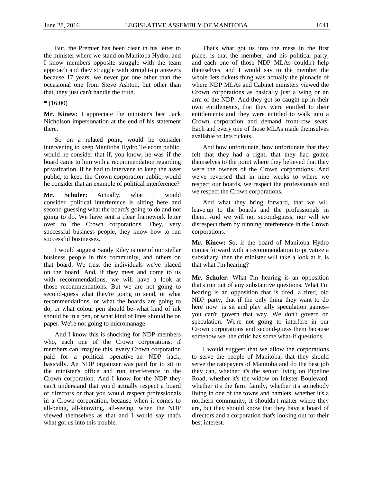But, the Premier has been clear in his letter to the minister where we stand on Manitoba Hydro, and I know members opposite struggle with the team approach and they struggle with straight-up answers because 17 years, we never got one other than the occasional one from Steve Ashton, but other than that, they just can't handle the truth.

**\*** (16:00)

**Mr. Kinew:** I appreciate the minister's best Jack Nicholson impersonation at the end of his statement there.

So on a related point, would he consider intervening to keep Manitoba Hydro Telecom public, would he consider that if, you know, he was–if the board came to him with a recommendation regarding privatization, if he had to intervene to keep the asset public, to keep the Crown corporation public, would he consider that an example of political interference?

**Mr. Schuler:** Actually, what I would consider political interference is sitting here and second-guessing what the board's going to do and not going to do. We have sent a clear framework letter over to the Crown corporations. They, very successful business people, they know how to run successful businesses.

I would suggest Sandy Riley is one of our stellar business people in this community, and others on that board. We trust the individuals we've placed on the board. And, if they meet and come to us with recommendations, we will have a look at those recommendations. But we are not going to second-guess what they're going to send, or what recommendations, or what the boards are going to do, or what colour pen should be–what kind of ink should be in a pen, or what kind of lines should be on paper. We're not going to micromanage.

And I know this is shocking for NDP members who, each one of the Crown corporations, if members can imagine this, every Crown corporation paid for a political operative–an NDP hack, basically. An NDP organizer was paid for to sit in the minister's office and run interference in the Crown corporation. And I know for the NDP they can't understand that you'd actually respect a board of directors or that you would respect professionals in a Crown corporation, because when it comes to all-being, all-knowing, all-seeing, when the NDP viewed themselves as that–and I would say that's what got us into this trouble.

That's what got us into the mess in the first place, is that the member, and his political party, and each one of those NDP MLAs couldn't help themselves, and I would say to the member the whole Jets tickets thing was actually the pinnacle of where NDP MLAs and Cabinet ministers viewed the Crown corporations as basically just a wing or an arm of the NDP. And they got so caught up in their own entitlements, that they were entitled to their entitlements and they were entitled to walk into a Crown corporation and demand front-row seats. Each and every one of those MLAs made themselves available to Jets tickets.

And how unfortunate, how unfortunate that they felt that they had a right, that they had gotten themselves to the point where they believed that they were the owners of the Crown corporations. And we've reversed that in nine weeks to where we respect our boards, we respect the professionals and we respect the Crown corporations.

And what they bring forward, that we will leave up to the boards and the professionals in them. And we will not second-guess, nor will we disrespect them by running interference in the Crown corporations.

**Mr. Kinew:** So, if the board of Manitoba Hydro comes forward with a recommendation to privatize a subsidiary, then the minister will take a look at it, is that what I'm hearing?

**Mr. Schuler:** What I'm hearing is an opposition that's run out of any substantive questions. What I'm hearing is an opposition that is tired, a tired, old NDP party, that if the only thing they want to do here now is sit and play silly speculation games– you can't govern that way. We don't govern on speculation. We're not going to interfere in our Crown corporations and second-guess them because somehow we–the critic has some what-if questions.

I would suggest that we allow the corporations to serve the people of Manitoba, that they should serve the ratepayers of Manitoba and do the best job they can, whether it's the senior living on Pipeline Road, whether it's the widow on Inkster Boulevard, whether it's the farm family, whether it's somebody living in one of the towns and hamlets, whether it's a northern community, it shouldn't matter where they are, but they should know that they have a board of directors and a corporation that's looking out for their best interest.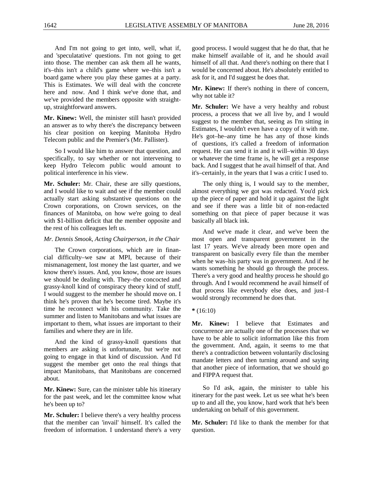And I'm not going to get into, well, what if, and 'speculatative' questions. I'm not going to get into those. The member can ask them all he wants, it's–this isn't a child's game where we–this isn't a board game where you play these games at a party. This is Estimates. We will deal with the concrete here and now. And I think we've done that, and we've provided the members opposite with straightup, straightforward answers.

**Mr. Kinew:** Well, the minister still hasn't provided an answer as to why there's the discrepancy between his clear position on keeping Manitoba Hydro Telecom public and the Premier's (Mr. Pallister).

So I would like him to answer that question, and specifically, to say whether or not intervening to keep Hydro Telecom public would amount to political interference in his view.

**Mr. Schuler:** Mr. Chair, these are silly questions, and I would like to wait and see if the member could actually start asking substantive questions on the Crown corporations, on Crown services, on the finances of Manitoba, on how we're going to deal with \$1-billion deficit that the member opposite and the rest of his colleagues left us.

#### *Mr. Dennis Smook, Acting Chairperson, in the Chair*

The Crown corporations, which are in financial difficulty–we saw at MPI, because of their mismanagement, lost money the last quarter, and we know there's issues. And, you know, those are issues we should be dealing with. They–the concocted and grassy-knoll kind of conspiracy theory kind of stuff, I would suggest to the member he should move on. I think he's proven that he's become tired. Maybe it's time he reconnect with his community. Take the summer and listen to Manitobans and what issues are important to them, what issues are important to their families and where they are in life.

And the kind of grassy-knoll questions that members are asking is unfortunate, but we're not going to engage in that kind of discussion. And I'd suggest the member get onto the real things that impact Manitobans, that Manitobans are concerned about.

**Mr. Kinew:** Sure, can the minister table his itinerary for the past week, and let the committee know what he's been up to?

**Mr. Schuler:** I believe there's a very healthy process that the member can 'invail' himself. It's called the freedom of information. I understand there's a very good process. I would suggest that he do that, that he make himself available of it, and he should avail himself of all that. And there's nothing on there that I would be concerned about. He's absolutely entitled to ask for it, and I'd suggest he does that.

**Mr. Kinew:** If there's nothing in there of concern, why not table it?

**Mr. Schuler:** We have a very healthy and robust process, a process that we all live by, and I would suggest to the member that, seeing as I'm sitting in Estimates, I wouldn't even have a copy of it with me. He's got–he–any time he has any of those kinds of questions, it's called a freedom of information request. He can send it in and it will–within 30 days or whatever the time frame is, he will get a response back. And I suggest that he avail himself of that. And it's–certainly, in the years that I was a critic I used to.

The only thing is, I would say to the member, almost everything we got was redacted. You'd pick up the piece of paper and hold it up against the light and see if there was a little bit of non-redacted something on that piece of paper because it was basically all black ink.

And we've made it clear, and we've been the most open and transparent government in the last 17 years. We've already been more open and transparent on basically every file than the member when he was–his party was in government. And if he wants something he should go through the process. There's a very good and healthy process he should go through. And I would recommend he avail himself of that process like everybody else does, and just–I would strongly recommend he does that.

#### **\*** (16:10)

**Mr. Kinew:** I believe that Estimates and concurrence are actually one of the processes that we have to be able to solicit information like this from the government. And, again, it seems to me that there's a contradiction between voluntarily disclosing mandate letters and then turning around and saying that another piece of information, that we should go and FIPPA request that.

So I'd ask, again, the minister to table his itinerary for the past week. Let us see what he's been up to and all the, you know, hard work that he's been undertaking on behalf of this government.

**Mr. Schuler:** I'd like to thank the member for that question.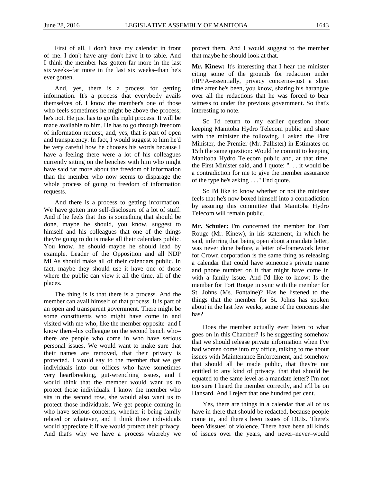First of all, I don't have my calendar in front of me. I don't have any–don't have it to table. And I think the member has gotten far more in the last six weeks–far more in the last six weeks–than he's ever gotten.

And, yes, there is a process for getting information. It's a process that everybody avails themselves of. I know the member's one of those who feels sometimes he might be above the process; he's not. He just has to go the right process. It will be made available to him. He has to go through freedom of information request, and, yes, that is part of open and transparency. In fact, I would suggest to him he'd be very careful how he chooses his words because I have a feeling there were a lot of his colleagues currently sitting on the benches with him who might have said far more about the freedom of information than the member who now seems to disparage the whole process of going to freedom of information requests.

And there is a process to getting information. We have gotten into self-disclosure of a lot of stuff. And if he feels that this is something that should be done, maybe he should, you know, suggest to himself and his colleagues that one of the things they're going to do is make all their calendars public. You know, he should–maybe he should lead by example. Leader of the Opposition and all NDP MLAs should make all of their calendars public. In fact, maybe they should use it–have one of those where the public can view it all the time, all of the places.

The thing is is that there is a process. And the member can avail himself of that process. It is part of an open and transparent government. There might be some constituents who might have come in and visited with me who, like the member opposite–and I know there–his colleague on the second bench who– there are people who come in who have serious personal issues. We would want to make sure that their names are removed, that their privacy is protected. I would say to the member that we get individuals into our offices who have sometimes very heartbreaking, gut-wrenching issues, and I would think that the member would want us to protect those individuals. I know the member who sits in the second row, she would also want us to protect those individuals. We get people coming in who have serious concerns, whether it being family related or whatever, and I think those individuals would appreciate it if we would protect their privacy. And that's why we have a process whereby we protect them. And I would suggest to the member that maybe he should look at that.

**Mr. Kinew:** It's interesting that I hear the minister citing some of the grounds for redaction under FIPPA–essentially, privacy concerns–just a short time after he's been, you know, sharing his harangue over all the redactions that he was forced to bear witness to under the previous government. So that's interesting to note.

So I'd return to my earlier question about keeping Manitoba Hydro Telecom public and share with the minister the following. I asked the First Minister, the Premier (Mr. Pallister) in Estimates on 15th the same question: Would he commit to keeping Manitoba Hydro Telecom public and, at that time, the First Minister said, and I quote: ". . . it would be a contradiction for me to give the member assurance of the type he's asking . . ." End quote.

So I'd like to know whether or not the minister feels that he's now boxed himself into a contradiction by assuring this committee that Manitoba Hydro Telecom will remain public.

**Mr. Schuler:** I'm concerned the member for Fort Rouge (Mr. Kinew), in his statement, in which he said, inferring that being open about a mandate letter, was never done before, a letter of–framework letter for Crown corporation is the same thing as releasing a calendar that could have someone's private name and phone number on it that might have come in with a family issue. And I'd like to know: Is the member for Fort Rouge in sync with the member for St. Johns (Ms. Fontaine)? Has he listened to the things that the member for St. Johns has spoken about in the last few weeks, some of the concerns she has?

Does the member actually ever listen to what goes on in this Chamber? Is he suggesting somehow that we should release private information when I've had women come into my office, talking to me about issues with Maintenance Enforcement, and somehow that should all be made public, that they're not entitled to any kind of privacy, that that should be equated to the same level as a mandate letter? I'm not too sure I heard the member correctly, and it'll be on Hansard. And I reject that one hundred per cent.

Yes, there are things in a calendar that all of us have in there that should be redacted, because people come in, and there's been issues of DUIs. There's been 'dissues' of violence. There have been all kinds of issues over the years, and never–never–would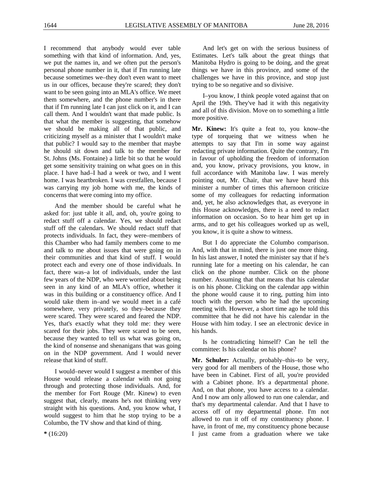I recommend that anybody would ever table something with that kind of information. And, yes, we put the names in, and we often put the person's personal phone number in it, that if I'm running late because sometimes we–they don't even want to meet us in our offices, because they're scared; they don't want to be seen going into an MLA's office. We meet them somewhere, and the phone number's in there that if I'm running late I can just click on it, and I can call them. And I wouldn't want that made public. Is that what the member is suggesting, that somehow we should be making all of that public, and criticizing myself as a minister that I wouldn't make that public? I would say to the member that maybe he should sit down and talk to the member for St. Johns (Ms. Fontaine) a little bit so that he would get some sensitivity training on what goes on in this place. I have had–I had a week or two, and I went home. I was heartbroken. I was crestfallen, because I was carrying my job home with me, the kinds of concerns that were coming into my office.

And the member should be careful what he asked for: just table it all, and, oh, you're going to redact stuff off a calendar. Yes, we should redact stuff off the calendars. We should redact stuff that protects individuals. In fact, they were–members of this Chamber who had family members come to me and talk to me about issues that were going on in their communities and that kind of stuff. I would protect each and every one of those individuals. In fact, there was–a lot of individuals, under the last few years of the NDP, who were worried about being seen in any kind of an MLA's office, whether it was in this building or a constituency office. And I would take them in–and we would meet in a café somewhere, very privately, so they–because they were scared. They were scared and feared the NDP. Yes, that's exactly what they told me: they were scared for their jobs. They were scared to be seen, because they wanted to tell us what was going on, the kind of nonsense and shenanigans that was going on in the NDP government. And I would never release that kind of stuff.

I would–never would I suggest a member of this House would release a calendar with not going through and protecting those individuals. And, for the member for Fort Rouge (Mr. Kinew) to even suggest that, clearly, means he's not thinking very straight with his questions. And, you know what, I would suggest to him that he stop trying to be a Columbo, the TV show and that kind of thing.

And let's get on with the serious business of Estimates. Let's talk about the great things that Manitoba Hydro is going to be doing, and the great things we have in this province, and some of the challenges we have in this province, and stop just trying to be so negative and so divisive.

I–you know, I think people voted against that on April the 19th. They've had it with this negativity and all of this division. Move on to something a little more positive.

**Mr. Kinew:** It's quite a feat to, you know–the type of torqueing that we witness when he attempts to say that I'm in some way against redacting private information. Quite the contrary, I'm in favour of upholding the freedom of information and, you know, privacy provisions, you know, in full accordance with Manitoba law. I was merely pointing out, Mr. Chair, that we have heard this minister a number of times this afternoon criticize some of my colleagues for redacting information and, yet, he also acknowledges that, as everyone in this House acknowledges, there is a need to redact information on occasion. So to hear him get up in arms, and to get his colleagues worked up as well, you know, it is quite a show to witness.

But I do appreciate the Columbo comparison. And, with that in mind, there is just one more thing. In his last answer, I noted the minister say that if he's running late for a meeting on his calendar, he can click on the phone number. Click on the phone number. Assuming that that means that his calendar is on his phone. Clicking on the calendar app within the phone would cause it to ring, putting him into touch with the person who he had the upcoming meeting with. However, a short time ago he told this committee that he did not have his calendar in the House with him today. I see an electronic device in his hands.

Is he contradicting himself? Can he tell the committee: Is his calendar on his phone?

**Mr. Schuler:** Actually, probably–this–to be very, very good for all members of the House, those who have been in Cabinet. First of all, you're provided with a Cabinet phone. It's a departmental phone. And, on that phone, you have access to a calendar. And I now am only allowed to run one calendar, and that's my departmental calendar. And that I have to access off of my departmental phone. I'm not allowed to run it off of my constituency phone. I have, in front of me, my constituency phone because I just came from a graduation where we take

**\*** (16:20)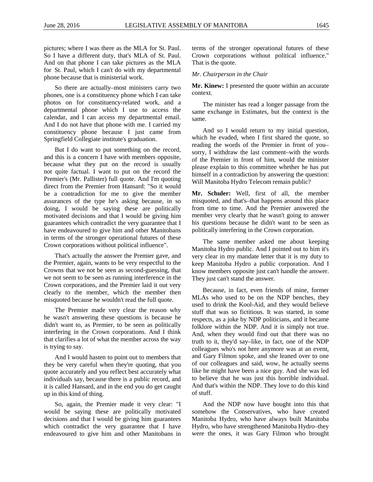pictures; where I was there as the MLA for St. Paul. So I have a different duty, that's MLA of St. Paul. And on that phone I can take pictures as the MLA for St. Paul, which I can't do with my departmental phone because that is ministerial work.

So there are actually–most ministers carry two phones, one is a constituency phone which I can take photos on for constituency-related work, and a departmental phone which I use to access the calendar, and I can access my departmental email. And I do not have that phone with me. I carried my constituency phone because I just came from Springfield Collegiate institute's graduation.

But I do want to put something on the record, and this is a concern I have with members opposite, because what they put on the record is usually not quite factual. I want to put on the record the Premier's (Mr. Pallister) full quote. And I'm quoting direct from the Premier from Hansard: "So it would be a contradiction for me to give the member assurances of the type he's asking because, in so doing, I would be saying these are politically motivated decisions and that I would be giving him guarantees which contradict the very guarantee that I have endeavoured to give him and other Manitobans in terms of the stronger operational futures of these Crown corporations without political influence".

That's actually the answer the Premier gave, and the Premier, again, wants to be very respectful to the Crowns that we not be seen as second-guessing, that we not seem to be seen as running interference in the Crown corporations, and the Premier laid it out very clearly to the member, which the member then misquoted because he wouldn't read the full quote.

The Premier made very clear the reason why he wasn't answering these questions is because he didn't want to, as Premier, to be seen as politically interfering in the Crown corporations. And I think that clarifies a lot of what the member across the way is trying to say.

And I would hasten to point out to members that they be very careful when they're quoting, that you quote accurately and you reflect best accurately what individuals say, because there is a public record, and it is called Hansard, and in the end you do get caught up in this kind of thing.

So, again, the Premier made it very clear: "I would be saying these are politically motivated decisions and that I would be giving him guarantees which contradict the very guarantee that I have endeavoured to give him and other Manitobans in terms of the stronger operational futures of these Crown corporations without political influence." That is the quote.

#### *Mr. Chairperson in the Chair*

**Mr. Kinew:** I presented the quote within an accurate context.

The minister has read a longer passage from the same exchange in Estimates, but the context is the same.

And so I would return to my initial question, which he evaded, when I first shared the quote, so reading the words of the Premier in front of you– sorry, I withdraw the last comment–with the words of the Premier in front of him, would the minister please explain to this committee whether he has put himself in a contradiction by answering the question: Will Manitoba Hydro Telecom remain public?

**Mr. Schuler:** Well, first of all, the member misquoted, and that's–that happens around this place from time to time. And the Premier answered the member very clearly that he wasn't going to answer his questions because he didn't want to be seen as politically interfering in the Crown corporation.

The same member asked me about keeping Manitoba Hydro public. And I pointed out to him it's very clear in my mandate letter that it is my duty to keep Manitoba Hydro a public corporation. And I know members opposite just can't handle the answer. They just can't stand the answer.

Because, in fact, even friends of mine, former MLAs who used to be on the NDP benches, they used to drink the Kool-Aid, and they would believe stuff that was so fictitious. It was started, in some respects, as a joke by NDP politicians, and it became folklore within the NDP. And it is simply not true. And, when they would find out that there was no truth to it, they'd say–like, in fact, one of the NDP colleagues who's not here anymore was at an event, and Gary Filmon spoke, and she leaned over to one of our colleagues and said, wow, he actually seems like he might have been a nice guy. And she was led to believe that he was just this horrible individual. And that's within the NDP. They love to do this kind of stuff.

And the NDP now have bought into this that somehow the Conservatives, who have created Manitoba Hydro, who have always built Manitoba Hydro, who have strengthened Manitoba Hydro–they were the ones, it was Gary Filmon who brought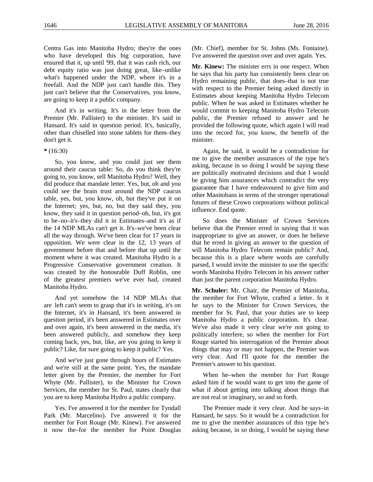Centra Gas into Manitoba Hydro; they're the ones who have developed this big corporation, have ensured that it, up until '99, that it was cash rich, our debt equity ratio was just doing great, like–unlike what's happened under the NDP, where it's in a freefall. And the NDP just can't handle this. They just can't believe that the Conservatives, you know, are going to keep it a public company.

And it's in writing. It's in the letter from the Premier (Mr. Pallister) to the minister. It's said in Hansard. It's said in question period. It's, basically, other than chiselled into stone tablets for them–they don't get it.

**\*** (16:30)

So, you know, and you could just see them around their caucus table: So, do you think they're going to, you know, sell Manitoba Hydro? Well, they did produce that mandate letter. Yes, but, oh and you could see the brain trust around the NDP caucus table, yes, but, you know, oh, but they've put it on the Internet; yes, but, no, but they said they, you know, they said it in question period–oh, but, it's got to be–no–it's–they did it in Estimates–and it's as if the 14 NDP MLAs can't get it. It's–we've been clear all the way through. We've been clear for 17 years in opposition. We were clear in the 12, 13 years of government before that and before that up until the moment where it was created. Manitoba Hydro is a Progressive Conservative government creation. It was created by the honourable Duff Roblin, one of the greatest premiers we've ever had, created Manitoba Hydro.

And yet somehow the 14 NDP MLAs that are left can't seem to grasp that it's in writing, it's on the Internet, it's in Hansard, it's been answered in question period, it's been answered in Estimates over and over again, it's been answered in the media, it's been answered publicly, and somehow they keep coming back, yes, but, like, are you going to keep it public? Like, for sure going to keep it public? Yes.

And we've just gone through hours of Estimates and we're still at the same point. Yes, the mandate letter given by the Premier, the member for Fort Whyte (Mr. Pallister), to the Minister for Crown Services, the member for St. Paul, states clearly that you are to keep Manitoba Hydro a public company.

Yes. I've answered it for the member for Tyndall Park (Mr. Marcelino). I've answered it for the member for Fort Rouge (Mr. Kinew). I've answered it now the–for the member for Point Douglas (Mr. Chief), member for St. Johns (Ms. Fontaine). I've answered the question over and over again. Yes.

**Mr. Kinew:** The minister errs in one respect. When he says that his party has consistently been clear on Hydro remaining public, that does–that is not true with respect to the Premier being asked directly in Estimates about keeping Manitoba Hydro Telecom public. When he was asked in Estimates whether he would commit to keeping Manitoba Hydro Telecom public, the Premier refused to answer and he provided the following quote, which again I will read into the record for, you know, the benefit of the minister.

Again, he said, it would be a contradiction for me to give the member assurances of the type he's asking, because in so doing I would be saying these are politically motivated decisions and that I would be giving him assurances which contradict the very guarantee that I have endeavoured to give him and other Manitobans in terms of the stronger operational futures of these Crown corporations without political influence. End quote.

So does the Minister of Crown Services believe that the Premier erred in saying that it was inappropriate to give an answer, or does he believe that he erred in giving an answer to the question of will Manitoba Hydro Telecom remain public? And, because this is a place where words are carefully parsed, I would invite the minister to use the specific words Manitoba Hydro Telecom in his answer rather than just the parent corporation Manitoba Hydro.

**Mr. Schuler:** Mr. Chair, the Premier of Manitoba, the member for Fort Whyte, crafted a letter. In it he says to the Minister for Crown Services, the member for St. Paul, that your duties are to keep Manitoba Hydro a public corporation. It's clear. We've also made it very clear we're not going to politically interfere, so when the member for Fort Rouge started his interrogation of the Premier about things that may or may not happen, the Premier was very clear. And I'll quote for the member the Premier's answer to his question.

When he–when the member for Fort Rouge asked him if he would want to get into the game of what if about getting into talking about things that are not real or imaginary, so and so forth.

The Premier made it very clear. And he says–in Hansard, he says: So it would be a contradiction for me to give the member assurances of this type he's asking because, in so doing, I would be saying these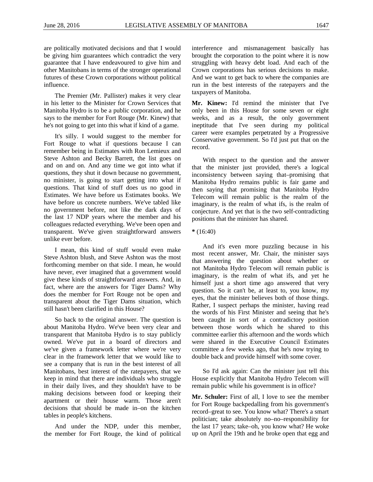are politically motivated decisions and that I would be giving him guarantees which contradict the very guarantee that I have endeavoured to give him and other Manitobans in terms of the stronger operational futures of these Crown corporations without political influence.

The Premier (Mr. Pallister) makes it very clear in his letter to the Minister for Crown Services that Manitoba Hydro is to be a public corporation, and he says to the member for Fort Rouge (Mr. Kinew) that he's not going to get into this what if kind of a game.

It's silly. I would suggest to the member for Fort Rouge to what if questions because I can remember being in Estimates with Ron Lemieux and Steve Ashton and Becky Barrett, the list goes on and on and on. And any time we got into what if questions, they shut it down because no government, no minister, is going to start getting into what if questions. That kind of stuff does us no good in Estimates. We have before us Estimates books. We have before us concrete numbers. We've tabled like no government before, not like the dark days of the last 17 NDP years where the member and his colleagues redacted everything. We've been open and transparent. We've given straightforward answers unlike ever before.

I mean, this kind of stuff would even make Steve Ashton blush, and Steve Ashton was the most forthcoming member on that side. I mean, he would have never, ever imagined that a government would give these kinds of straightforward answers. And, in fact, where are the answers for Tiger Dams? Why does the member for Fort Rouge not be open and transparent about the Tiger Dams situation, which still hasn't been clarified in this House?

So back to the original answer. The question is about Manitoba Hydro. We've been very clear and transparent that Manitoba Hydro is to stay publicly owned. We've put in a board of directors and we've given a framework letter where we're very clear in the framework letter that we would like to see a company that is run in the best interest of all Manitobans, best interest of the ratepayers, that we keep in mind that there are individuals who struggle in their daily lives, and they shouldn't have to be making decisions between food or keeping their apartment or their house warm. Those aren't decisions that should be made in–on the kitchen tables in people's kitchens.

And under the NDP, under this member, the member for Fort Rouge, the kind of political interference and mismanagement basically has brought the corporation to the point where it is now struggling with heavy debt load. And each of the Crown corporations has serious decisions to make. And we want to get back to where the companies are run in the best interests of the ratepayers and the taxpayers of Manitoba.

**Mr. Kinew:** I'd remind the minister that I've only been in this House for some seven or eight weeks, and as a result, the only government ineptitude that I've seen during my political career were examples perpetrated by a Progressive Conservative government. So I'd just put that on the record.

With respect to the question and the answer that the minister just provided, there's a logical inconsistency between saying that–promising that Manitoba Hydro remains public is fair game and then saying that promising that Manitoba Hydro Telecom will remain public is the realm of the imaginary, is the realm of what ifs, is the realm of conjecture. And yet that is the two self-contradicting positions that the minister has shared.

And it's even more puzzling because in his most recent answer, Mr. Chair, the minister says that answering the question about whether or not Manitoba Hydro Telecom will remain public is imaginary, is the realm of what ifs, and yet he himself just a short time ago answered that very question. So it can't be, at least to, you know, my eyes, that the minister believes both of those things. Rather, I suspect perhaps the minister, having read the words of his First Minister and seeing that he's been caught in sort of a contradictory position between those words which he shared to this committee earlier this afternoon and the words which were shared in the Executive Council Estimates committee a few weeks ago, that he's now trying to double back and provide himself with some cover.

So I'd ask again: Can the minister just tell this House explicitly that Manitoba Hydro Telecom will remain public while his government is in office?

**Mr. Schuler:** First of all, I love to see the member for Fort Rouge backpedalling from his government's record–great to see. You know what? There's a smart politician; take absolutely no–no–responsibility for the last 17 years; take–oh, you know what? He woke up on April the 19th and he broke open that egg and

**<sup>\*</sup>** (16:40)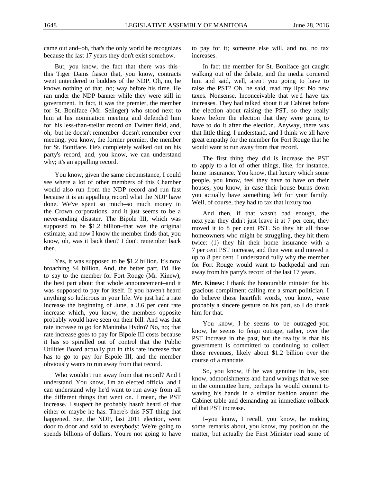came out and–oh, that's the only world he recognizes because the last 17 years they don't exist somehow.

But, you know, the fact that there was this– this Tiger Dams fiasco that, you know, contracts went untendered to buddies of the NDP. Oh, no, he knows nothing of that, no; way before his time. He ran under the NDP banner while they were still in government. In fact, it was the premier, the member for St. Boniface (Mr. Selinger) who stood next to him at his nomination meeting and defended him for his less-than-stellar record on Twitter field, and, oh, but he doesn't remember–doesn't remember ever meeting, you know, the former premier, the member for St. Boniface. He's completely walked out on his party's record, and, you know, we can understand why; it's an appalling record.

You know, given the same circumstance, I could see where a lot of other members of this Chamber would also run from the NDP record and run fast because it is an appalling record what the NDP have done. We've spent so much–so much money in the Crown corporations, and it just seems to be a never-ending disaster. The Bipole III, which was supposed to be \$1.2 billion–that was the original estimate, and now I know the member finds that, you know, oh, was it back then? I don't remember back then.

Yes, it was supposed to be \$1.2 billion. It's now broaching \$4 billion. And, the better part, I'd like to say to the member for Fort Rouge (Mr. Kinew), the best part about that whole announcement–and it was supposed to pay for itself. If you haven't heard anything so ludicrous in your life. We just had a rate increase the beginning of June, a 3.6 per cent rate increase which, you know, the members opposite probably would have seen on their bill. And was that rate increase to go for Manitoba Hydro? No, no; that rate increase goes to pay for Bipole III costs because it has so spiralled out of control that the Public Utilities Board actually put in this rate increase that has to go to pay for Bipole III, and the member obviously wants to run away from that record.

Who wouldn't run away from that record? And I understand. You know, I'm an elected official and I can understand why he'd want to run away from all the different things that went on. I mean, the PST increase. I suspect he probably hasn't heard of that either or maybe he has. There's this PST thing that happened. See, the NDP, last 2011 election, went door to door and said to everybody: We're going to spends billions of dollars. You're not going to have to pay for it; someone else will, and no, no tax increases.

In fact the member for St. Boniface got caught walking out of the debate, and the media cornered him and said, well, aren't you going to have to raise the PST? Oh, he said, read my lips: No new taxes. Nonsense. Inconceivable that we'd have tax increases. They had talked about it at Cabinet before the election about raising the PST, so they really knew before the election that they were going to have to do it after the election. Anyway, there was that little thing. I understand, and I think we all have great empathy for the member for Fort Rouge that he would want to run away from that record.

The first thing they did is increase the PST to apply to a lot of other things, like, for instance, home insurance. You know, that luxury which some people, you know, feel they have to have on their houses, you know, in case their house burns down you actually have something left for your family. Well, of course, they had to tax that luxury too.

And then, if that wasn't bad enough, the next year they didn't just leave it at 7 per cent, they moved it to 8 per cent PST. So they hit all those homeowners who might be struggling, they hit them twice: (1) they hit their home insurance with a 7 per cent PST increase, and then went and moved it up to 8 per cent. I understand fully why the member for Fort Rouge would want to backpedal and run away from his party's record of the last 17 years.

**Mr. Kinew:** I thank the honourable minister for his gracious compliment calling me a smart politician. I do believe those heartfelt words, you know, were probably a sincere gesture on his part, so I do thank him for that.

You know, I–he seems to be outraged–you know, he seems to feign outrage, rather, over the PST increase in the past, but the reality is that his government is committed to continuing to collect those revenues, likely about \$1.2 billion over the course of a mandate.

So, you know, if he was genuine in his, you know, admonishments and hand wavings that we see in the committee here, perhaps he would commit to waving his hands in a similar fashion around the Cabinet table and demanding an immediate rollback of that PST increase.

I–you know, I recall, you know, he making some remarks about, you know, my position on the matter, but actually the First Minister read some of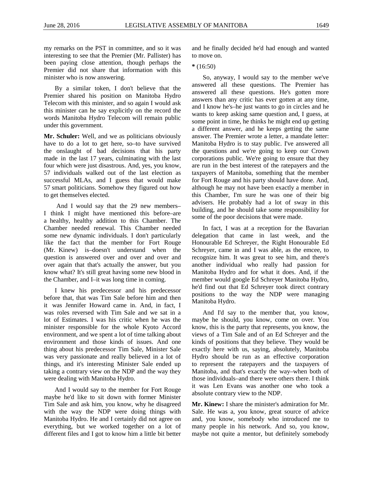my remarks on the PST in committee, and so it was interesting to see that the Premier (Mr. Pallister) has been paying close attention, though perhaps the Premier did not share that information with this minister who is now answering.

By a similar token, I don't believe that the Premier shared his position on Manitoba Hydro Telecom with this minister, and so again I would ask this minister can he say explicitly on the record the words Manitoba Hydro Telecom will remain public under this government.

**Mr. Schuler:** Well, and we as politicians obviously have to do a lot to get here, so–to have survived the onslaught of bad decisions that his party made in the last 17 years, culminating with the last four which were just disastrous. And, yes, you know, 57 individuals walked out of the last election as successful MLAs, and I guess that would make 57 smart politicians. Somehow they figured out how to get themselves elected.

And I would say that the 29 new members– I think I might have mentioned this before–are a healthy, healthy addition to this Chamber. The Chamber needed renewal. This Chamber needed some new dynamic individuals. I don't particularly like the fact that the member for Fort Rouge (Mr. Kinew) is–doesn't understand when the question is answered over and over and over and over again that that's actually the answer, but you know what? It's still great having some new blood in the Chamber, and I–it was long time in coming.

I knew his predecessor and his predecessor before that, that was Tim Sale before him and then it was Jennifer Howard came in. And, in fact, I was roles reversed with Tim Sale and we sat in a lot of Estimates. I was his critic when he was the minister responsible for the whole Kyoto Accord environment, and we spent a lot of time talking about environment and those kinds of issues. And one thing about his predecessor Tim Sale, Minister Sale was very passionate and really believed in a lot of things, and it's interesting Minister Sale ended up taking a contrary view on the NDP and the way they were dealing with Manitoba Hydro.

And I would say to the member for Fort Rouge maybe he'd like to sit down with former Minister Tim Sale and ask him, you know, why he disagreed with the way the NDP were doing things with Manitoba Hydro. He and I certainly did not agree on everything, but we worked together on a lot of different files and I got to know him a little bit better

and he finally decided he'd had enough and wanted to move on.

# **\*** (16:50)

So, anyway, I would say to the member we've answered all these questions. The Premier has answered all these questions. He's gotten more answers than any critic has ever gotten at any time, and I know he's–he just wants to go in circles and he wants to keep asking same question and, I guess, at some point in time, he thinks he might end up getting a different answer, and he keeps getting the same answer. The Premier wrote a letter, a mandate letter: Manitoba Hydro is to stay public. I've answered all the questions and we're going to keep our Crown corporations public. We're going to ensure that they are run in the best interest of the ratepayers and the taxpayers of Manitoba, something that the member for Fort Rouge and his party should have done. And, although he may not have been exactly a member in this Chamber, I'm sure he was one of their big advisers. He probably had a lot of sway in this building, and he should take some responsibility for some of the poor decisions that were made.

In fact, I was at a reception for the Bavarian delegation that came in last week, and the Honourable Ed Schreyer, the Right Honourable Ed Schreyer, came in and I was able, as the emcee, to recognize him. It was great to see him, and there's another individual who really had passion for Manitoba Hydro and for what it does. And, if the member would google Ed Schreyer Manitoba Hydro, he'd find out that Ed Schreyer took direct contrary positions to the way the NDP were managing Manitoba Hydro.

And I'd say to the member that, you know, maybe he should, you know, come on over. You know, this is the party that represents, you know, the views of a Tim Sale and of an Ed Schreyer and the kinds of positions that they believe. They would be exactly here with us, saying, absolutely, Manitoba Hydro should be run as an effective corporation to represent the ratepayers and the taxpayers of Manitoba, and that's exactly the way–when both of those individuals–and there were others there. I think it was Len Evans was another one who took a absolute contrary view to the NDP.

**Mr. Kinew:** I share the minister's admiration for Mr. Sale. He was a, you know, great source of advice and, you know, somebody who introduced me to many people in his network. And so, you know, maybe not quite a mentor, but definitely somebody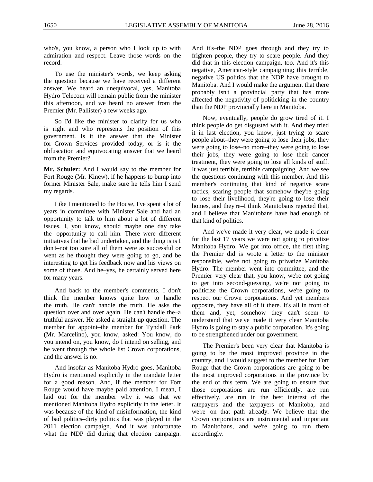who's, you know, a person who I look up to with admiration and respect. Leave those words on the record.

To use the minister's words, we keep asking the question because we have received a different answer. We heard an unequivocal, yes, Manitoba Hydro Telecom will remain public from the minister this afternoon, and we heard no answer from the Premier (Mr. Pallister) a few weeks ago.

So I'd like the minister to clarify for us who is right and who represents the position of this government. Is it the answer that the Minister for Crown Services provided today, or is it the obfuscation and equivocating answer that we heard from the Premier?

**Mr. Schuler:** And I would say to the member for Fort Rouge (Mr. Kinew), if he happens to bump into former Minister Sale, make sure he tells him I send my regards.

Like I mentioned to the House, I've spent a lot of years in committee with Minister Sale and had an opportunity to talk to him about a lot of different issues. I, you know, should maybe one day take the opportunity to call him. There were different initiatives that he had undertaken, and the thing is is I don't–not too sure all of them were as successful or went as he thought they were going to go, and be interesting to get his feedback now and his views on some of those. And he–yes, he certainly served here for many years.

And back to the member's comments, I don't think the member knows quite how to handle the truth. He can't handle the truth. He asks the question over and over again. He can't handle the–a truthful answer. He asked a straight-up question. The member for appoint–the member for Tyndall Park (Mr. Marcelino), you know, asked: You know, do you intend on, you know, do I intend on selling, and he went through the whole list Crown corporations, and the answer is no.

And insofar as Manitoba Hydro goes, Manitoba Hydro is mentioned explicitly in the mandate letter for a good reason. And, if the member for Fort Rouge would have maybe paid attention, I mean, I laid out for the member why it was that we mentioned Manitoba Hydro explicitly in the letter. It was because of the kind of misinformation, the kind of bad politics–dirty politics that was played in the 2011 election campaign. And it was unfortunate what the NDP did during that election campaign.

And it's–the NDP goes through and they try to frighten people, they try to scare people. And they did that in this election campaign, too. And it's this negative, American-style campaigning; this terrible, negative US politics that the NDP have brought to Manitoba. And I would make the argument that there probably isn't a provincial party that has more affected the negativity of politicking in the country than the NDP provincially here in Manitoba.

Now, eventually, people do grow tired of it. I think people do get disgusted with it. And they tried it in last election, you know, just trying to scare people about–they were going to lose their jobs, they were going to lose–no more–they were going to lose their jobs, they were going to lose their cancer treatment, they were going to lose all kinds of stuff. It was just terrible, terrible campaigning. And we see the questions continuing with this member. And this member's continuing that kind of negative scare tactics, scaring people that somehow they're going to lose their livelihood, they're going to lose their homes, and they're–I think Manitobans rejected that, and I believe that Manitobans have had enough of that kind of politics.

And we've made it very clear, we made it clear for the last 17 years we were not going to privatize Manitoba Hydro. We got into office, the first thing the Premier did is wrote a letter to the minister responsible, we're not going to privatize Manitoba Hydro. The member went into committee, and the Premier–very clear that, you know, we're not going to get into second-guessing, we're not going to politicize the Crown corporations, we're going to respect our Crown corporations. And yet members opposite, they have all of it there. It's all in front of them and, yet, somehow they can't seem to understand that we've made it very clear Manitoba Hydro is going to stay a public corporation. It's going to be strengthened under our government.

The Premier's been very clear that Manitoba is going to be the most improved province in the country, and I would suggest to the member for Fort Rouge that the Crown corporations are going to be the most improved corporations in the province by the end of this term. We are going to ensure that those corporations are run efficiently, are run effectively, are run in the best interest of the ratepayers and the taxpayers of Manitoba, and we're on that path already. We believe that the Crown corporations are instrumental and important to Manitobans, and we're going to run them accordingly.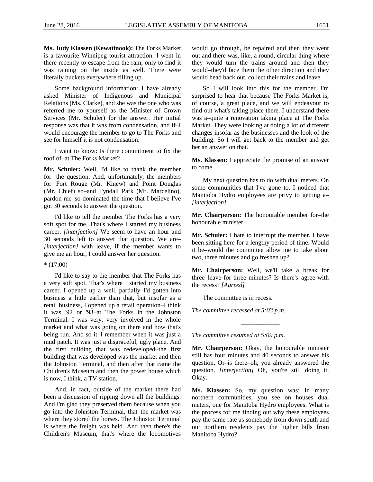<span id="page-38-0"></span>**Ms. Judy Klassen (Kewatinook):** The Forks Market is a favourite Winnipeg tourist attraction. I went in there recently to escape from the rain, only to find it was raining on the inside as well. There were literally buckets everywhere filling up.

Some background information: I have already asked Minister of Indigenous and Municipal Relations (Ms. Clarke), and she was the one who was referred me to yourself as the Minister of Crown Services (Mr. Schuler) for the answer. Her initial response was that it was from condensation, and if–I would encourage the member to go to The Forks and see for himself it is not condensation.

I want to know: Is there commitment to fix the roof of–at The Forks Market?

**Mr. Schuler:** Well, I'd like to thank the member for the question. And, unfortunately, the members for Fort Rouge (Mr. Kinew) and Point Douglas (Mr. Chief) so–and Tyndall Park (Mr. Marcelino), pardon me–so dominated the time that I believe I've got 30 seconds to answer the question.

I'd like to tell the member The Forks has a very soft spot for me. That's where I started my business career. *[interjection]* We seem to have an hour and 30 seconds left to answer that question. We are– *[interjection]*–with leave, if the member wants to give me an hour, I could answer her question.

#### **\*** (17:00)

I'd like to say to the member that The Forks has a very soft spot. That's where I started my business career. I opened up a–well, partially–I'd gotten into business a little earlier than that, but insofar as a retail business, I opened up a retail operation–I think it was '92 or '93–at The Forks in the Johnston Terminal. I was very, very involved in the whole market and what was going on there and how that's being run. And so it–I remember when it was just a mud patch. It was just a disgraceful, ugly place. And the first building that was redeveloped–the first building that was developed was the market and then the Johnston Terminal, and then after that came the Children's Museum and then the power house which is now, I think, a TV station.

And, in fact, outside of the market there had been a discussion of ripping down all the buildings. And I'm glad they preserved them because when you go into the Johnston Terminal, that–the market was where they stored the horses. The Johnston Terminal is where the freight was held. And then there's the Children's Museum, that's where the locomotives would go through, be repaired and then they went out and there was, like, a round, circular thing where they would turn the trains around and then they would–they'd face them the other direction and they would head back out, collect their trains and leave.

So I will look into this for the member. I'm surprised to hear that because The Forks Market is, of course, a great place, and we will endeavour to find out what's taking place there. I understand there was a–quite a renovation taking place at The Forks Market. They were looking at doing a lot of different changes insofar as the businesses and the look of the building. So I will get back to the member and get her an answer on that.

**Ms. Klassen:** I appreciate the promise of an answer to come.

My next question has to do with dual meters. On some communities that I've gone to, I noticed that Manitoba Hydro employees are privy to getting a– *[interjection]*

**Mr. Chairperson:** The honourable member for–the honourable minister.

**Mr. Schuler:** I hate to interrupt the member. I have been sitting here for a lengthy period of time. Would it be–would the committee allow me to take about two, three minutes and go freshen up?

**Mr. Chairperson:** Well, we'll take a break for three–leave for three minutes? Is–there's–agree with the recess? *[Agreed]*

The committee is in recess.

*The committee recessed at 5:03 p.m.*

*The committee resumed at 5:09 p.m.*

**Mr. Chairperson:** Okay, the honourable minister still has four minutes and 40 seconds to answer his question. Or–is there–oh, you already answered the question. *[interjection]* Oh, you're still doing it. Okay.

*\_\_\_\_\_\_\_\_\_\_\_\_*

**Ms. Klassen:** So, my question was: In many northern communities, you see on houses dual meters, one for Manitoba Hydro employees. What is the process for me finding out why these employees pay the same rate as somebody from down south and our northern residents pay the higher bills from Manitoba Hydro?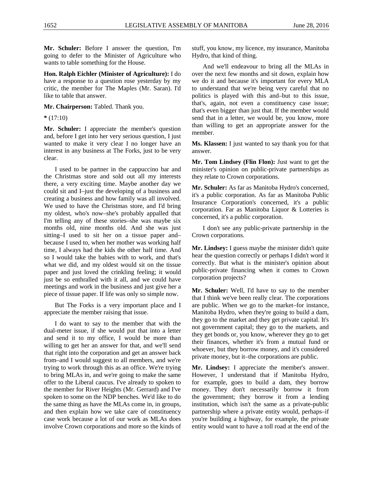**Mr. Schuler:** Before I answer the question, I'm going to defer to the Minister of Agriculture who wants to table something for the House.

<span id="page-39-0"></span>**Hon. Ralph Eichler (Minister of Agriculture):** I do have a response to a question rose yesterday by my critic, the member for The Maples (Mr. Saran). I'd like to table that answer.

**Mr. Chairperson:** Tabled. Thank you.

**\*** (17:10)

**Mr. Schuler:** I appreciate the member's question and, before I get into her very serious question, I just wanted to make it very clear I no longer have an interest in any business at The Forks, just to be very clear.

I used to be partner in the cappuccino bar and the Christmas store and sold out all my interests there, a very exciting time. Maybe another day we could sit and I–just the developing of a business and creating a business and how family was all involved. We used to have the Christmas store, and I'd bring my oldest, who's now–she's probably appalled that I'm telling any of these stories–she was maybe six months old, nine months old. And she was just sitting–I used to sit her on a tissue paper and– because I used to, when her mother was working half time, I always had the kids the other half time. And so I would take the babies with to work, and that's what we did, and my oldest would sit on the tissue paper and just loved the crinkling feeling; it would just be so enthralled with it all, and we could have meetings and work in the business and just give her a piece of tissue paper. If life was only so simple now.

But The Forks is a very important place and I appreciate the member raising that issue.

I do want to say to the member that with the dual-meter issue, if she would put that into a letter and send it to my office, I would be more than willing to get her an answer for that, and we'll send that right into the corporation and get an answer back from–and I would suggest to all members, and we're trying to work through this as an office. We're trying to bring MLAs in, and we're going to make the same offer to the Liberal caucus. I've already to spoken to the member for River Heights (Mr. Gerrard) and I've spoken to some on the NDP benches. We'd like to do the same thing as have the MLAs come in, in groups, and then explain how we take care of constituency case work because a lot of our work as MLAs does involve Crown corporations and more so the kinds of stuff, you know, my licence, my insurance, Manitoba Hydro, that kind of thing.

And we'll endeavour to bring all the MLAs in over the next few months and sit down, explain how we do it and because it's important for every MLA to understand that we're being very careful that no politics is played with this and–but to this issue, that's, again, not even a constituency case issue; that's even bigger than just that. If the member would send that in a letter, we would be, you know, more than willing to get an appropriate answer for the member.

**Ms. Klassen:** I just wanted to say thank you for that answer.

<span id="page-39-1"></span>**Mr. Tom Lindsey (Flin Flon):** Just want to get the minister's opinion on public-private partnerships as they relate to Crown corporations.

**Mr. Schuler:** As far as Manitoba Hydro's concerned, it's a public corporation. As far as Manitoba Public Insurance Corporation's concerned, it's a public corporation. Far as Manitoba Liquor & Lotteries is concerned, it's a public corporation.

I don't see any public-private partnership in the Crown corporations.

**Mr. Lindsey:** I guess maybe the minister didn't quite hear the question correctly or perhaps I didn't word it correctly. But what is the minister's opinion about public-private financing when it comes to Crown corporation projects?

**Mr. Schuler:** Well, I'd have to say to the member that I think we've been really clear. The corporations are public. When we go to the market–for instance, Manitoba Hydro, when they're going to build a dam, they go to the market and they get private capital. It's not government capital; they go to the markets, and they get bonds or, you know, wherever they go to get their finances, whether it's from a mutual fund or whoever, but they borrow money, and it's considered private money, but it–the corporations are public.

**Mr. Lindsey:** I appreciate the member's answer. However, I understand that if Manitoba Hydro, for example, goes to build a dam, they borrow money. They don't necessarily borrow it from the government; they borrow it from a lending institution, which isn't the same as a private-public partnership where a private entity would, perhaps–if you're building a highway, for example, the private entity would want to have a toll road at the end of the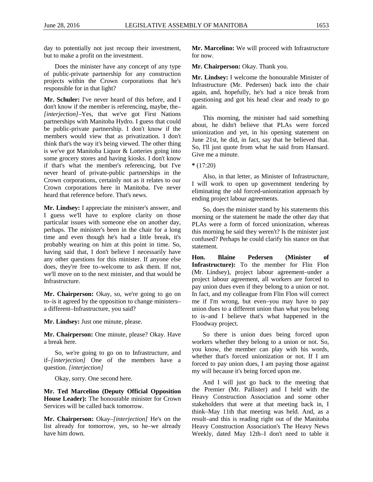day to potentially not just recoup their investment, but to make a profit on the investment.

Does the minister have any concept of any type of public-private partnership for any construction projects within the Crown corporations that he's responsible for in that light?

**Mr. Schuler:** I've never heard of this before, and I don't know if the member is referencing, maybe, the– *[interjection]*–Yes, that we've got First Nations partnerships with Manitoba Hydro. I guess that could be public-private partnership. I don't know if the members would view that as privatization. I don't think that's the way it's being viewed. The other thing is we've got Manitoba Liquor & Lotteries going into some grocery stores and having kiosks. I don't know if that's what the member's referencing, but I've never heard of private-public partnerships in the Crown corporations, certainly not as it relates to our Crown corporations here in Manitoba. I've never heard that reference before. That's news.

**Mr. Lindsey:** I appreciate the minister's answer, and I guess we'll have to explore clarity on those particular issues with someone else on another day, perhaps. The minister's been in the chair for a long time and even though he's had a little break, it's probably wearing on him at this point in time. So, having said that, I don't believe I necessarily have any other questions for this minister. If anyone else does, they're free to–welcome to ask them. If not, we'll move on to the next minister, and that would be Infrastructure.

Mr. Chairperson: Okay, so, we're going to go on to–is it agreed by the opposition to change ministers– a different–Infrastructure, you said?

**Mr. Lindsey:** Just one minute, please.

**Mr. Chairperson:** One minute, please? Okay. Have a break here.

So, we're going to go on to Infrastructure, and if–*[interjection]* One of the members have a question. *[interjection]*

Okay, sorry. One second here.

**Mr. Ted Marcelino (Deputy Official Opposition House Leader):** The honourable minister for Crown Services will be called back tomorrow.

**Mr. Chairperson:** Okay–*[interjection]* He's on the list already for tomorrow, yes, so he–we already have him down.

**Mr. Marcelino:** We will proceed with Infrastructure for now.

**Mr. Chairperson:** Okay. Thank you.

**Mr. Lindsey:** I welcome the honourable Minister of Infrastructure (Mr. Pedersen) back into the chair again, and, hopefully, he's had a nice break from questioning and got his head clear and ready to go again.

This morning, the minister had said something about, he didn't believe that PLAs were forced unionization and yet, in his opening statement on June 21st, he did, in fact, say that he believed that. So, I'll just quote from what he said from Hansard. Give me a minute.

**\*** (17:20)

Also, in that letter, as Minister of Infrastructure, I will work to open up government tendering by eliminating the old forced-unionization approach by ending project labour agreements.

So, does the minister stand by his statements this morning or the statement he made the other day that PLAs were a form of forced unionization, whereas this morning he said they weren't? Is the minister just confused? Perhaps he could clarify his stance on that statement.

<span id="page-40-0"></span>**Hon. Blaine Pedersen (Minister of Infrastructure):** To the member for Flin Flon (Mr. Lindsey), project labour agreement–under a project labour agreement, all workers are forced to pay union dues even if they belong to a union or not. In fact, and my colleague from Flin Flon will correct me if I'm wrong, but even–you may have to pay union dues to a different union than what you belong to is–and I believe that's what happened in the Floodway project.

So there is union dues being forced upon workers whether they belong to a union or not. So, you know, the member can play with his words, whether that's forced unionization or not. If I am forced to pay union dues, I am paying those against my will because it's being forced upon me.

And I will just go back to the meeting that the Premier (Mr. Pallister) and I held with the Heavy Construction Association and some other stakeholders that were at that meeting back in, I think–May 11th that meeting was held. And, as a result–and this is reading right out of the Manitoba Heavy Construction Association's The Heavy News Weekly, dated May 12th–I don't need to table it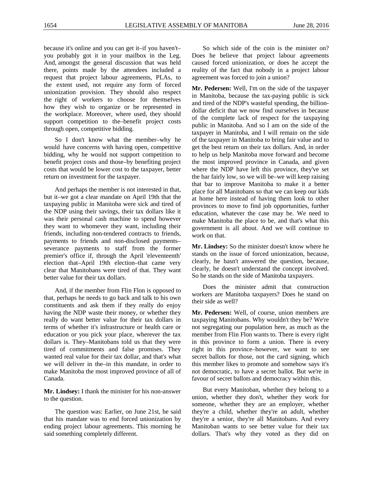because it's online and you can get it–if you haven't– you probably got it in your mailbox in the Leg. And, amongst the general discussion that was held there, points made by the attendees included a request that project labour agreements, PLAs, to the extent used, not require any form of forced unionization provision. They should also respect the right of workers to choose for themselves how they wish to organize or be represented in the workplace. Moreover, where used, they should support competition to the–benefit project costs through open, competitive bidding.

So I don't know what the member–why he would have concerns with having open, competitive bidding, why he would not support competition to benefit project costs and those–by benefiting project costs that would be lower cost to the taxpayer, better return on investment for the taxpayer.

And perhaps the member is not interested in that, but it–we got a clear mandate on April 19th that the taxpaying public in Manitoba were sick and tired of the NDP using their savings, their tax dollars like it was their personal cash machine to spend however they want to whomever they want, including their friends, including non-tendered contracts to friends, payments to friends and non-disclosed payments– severance payments to staff from the former premier's office if, through the April 'eleventeenth' election that–April 19th election–that came very clear that Manitobans were tired of that. They want better value for their tax dollars.

And, if the member from Flin Flon is opposed to that, perhaps he needs to go back and talk to his own constituents and ask them if they really do enjoy having the NDP waste their money, or whether they really do want better value for their tax dollars in terms of whether it's infrastructure or health care or education or you pick your place, wherever the tax dollars is. They–Manitobans told us that they were tired of commitments and false promises. They wanted real value for their tax dollar, and that's what we will deliver in the–in this mandate, in order to make Manitoba the most improved province of all of Canada.

**Mr. Lindsey:** I thank the minister for his non-answer to the question.

The question was: Earlier, on June 21st, he said that his mandate was to end forced unionization by ending project labour agreements. This morning he said something completely different.

So which side of the coin is the minister on? Does he believe that project labour agreements caused forced unionization, or does he accept the reality of the fact that nobody in a project labour agreement was forced to join a union?

**Mr. Pedersen:** Well, I'm on the side of the taxpayer in Manitoba, because the tax-paying public is sick and tired of the NDP's wasteful spending, the billiondollar deficit that we now find ourselves in because of the complete lack of respect for the taxpaying public in Manitoba. And so I am on the side of the taxpayer in Manitoba, and I will remain on the side of the taxpayer in Manitoba to bring fair value and to get the best return on their tax dollars. And, in order to help us help Manitoba move forward and become the most improved province in Canada, and given where the NDP have left this province, they've set the bar fairly low, so we will be–we will keep raising that bar to improve Manitoba to make it a better place for all Manitobans so that we can keep our kids at home here instead of having them look to other provinces to move to find job opportunities, further education, whatever the case may be. We need to make Manitoba the place to be, and that's what this government is all about. And we will continue to work on that.

**Mr. Lindsey:** So the minister doesn't know where he stands on the issue of forced unionization, because, clearly, he hasn't answered the question, because, clearly, he doesn't understand the concept involved. So he stands on the side of Manitoba taxpayers.

Does the minister admit that construction workers are Manitoba taxpayers? Does he stand on their side as well?

**Mr. Pedersen:** Well, of course, union members are taxpaying Manitobans. Why wouldn't they be? We're not segregating our population here, as much as the member from Flin Flon wants to. There is every right in this province to form a union. There is every right in this province–however, we want to see secret ballots for those, not the card signing, which this member likes to promote and somehow says it's not democratic, to have a secret ballot. But we're in favour of secret ballots and democracy within this.

But every Manitoban, whether they belong to a union, whether they don't, whether they work for someone, whether they are an employer, whether they're a child, whether they're an adult, whether they're a senior, they're all Manitobans. And every Manitoban wants to see better value for their tax dollars. That's why they voted as they did on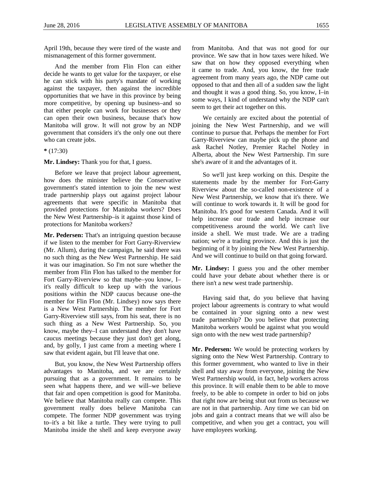April 19th, because they were tired of the waste and mismanagement of this former government.

And the member from Flin Flon can either decide he wants to get value for the taxpayer, or else he can stick with his party's mandate of working against the taxpayer, then against the incredible opportunities that we have in this province by being more competitive, by opening up business–and so that either people can work for businesses or they can open their own business, because that's how Manitoba will grow. It will not grow by an NDP government that considers it's the only one out there who can create jobs.

**\*** (17:30)

**Mr. Lindsey:** Thank you for that, I guess.

Before we leave that project labour agreement, how does the minister believe the Conservative government's stated intention to join the new west trade partnership plays out against project labour agreements that were specific in Manitoba that provided protections for Manitoba workers? Does the New West Partnership–is it against those kind of protections for Manitoba workers?

**Mr. Pedersen:** That's an intriguing question because if we listen to the member for Fort Garry-Riverview (Mr. Allum), during the campaign, he said there was no such thing as the New West Partnership. He said it was our imagination. So I'm not sure whether the member from Flin Flon has talked to the member for Fort Garry-Riverview so that maybe–you know, I– it's really difficult to keep up with the various positions within the NDP caucus because one–the member for Flin Flon (Mr. Lindsey) now says there is a New West Partnership. The member for Fort Garry-Riverview still says, from his seat, there is no such thing as a New West Partnership. So, you know, maybe they–I can understand they don't have caucus meetings because they just don't get along, and, by golly, I just came from a meeting where I saw that evident again, but I'll leave that one.

But, you know, the New West Partnership offers advantages to Manitoba, and we are certainly pursuing that as a government. It remains to be seen what happens there, and we will–we believe that fair and open competition is good for Manitoba. We believe that Manitoba really can compete. This government really does believe Manitoba can compete. The former NDP government was trying to–it's a bit like a turtle. They were trying to pull Manitoba inside the shell and keep everyone away from Manitoba. And that was not good for our province. We saw that in how taxes were hiked. We saw that on how they opposed everything when it came to trade. And, you know, the free trade agreement from many years ago, the NDP came out opposed to that and then all of a sudden saw the light and thought it was a good thing. So, you know, I–in some ways, I kind of understand why the NDP can't seem to get their act together on this.

We certainly are excited about the potential of joining the New West Partnership, and we will continue to pursue that. Perhaps the member for Fort Garry-Riverview can maybe pick up the phone and ask Rachel Notley, Premier Rachel Notley in Alberta, about the New West Partnership. I'm sure she's aware of it and the advantages of it.

So we'll just keep working on this. Despite the statements made by the member for Fort-Garry Riverview about the so-called non-existence of a New West Partnership, we know that it's there. We will continue to work towards it. It will be good for Manitoba. It's good for western Canada. And it will help increase our trade and help increase our competitiveness around the world. We can't live inside a shell. We must trade. We are a trading nation; we're a trading province. And this is just the beginning of it by joining the New West Partnership. And we will continue to build on that going forward.

**Mr. Lindsey:** I guess you and the other member could have your debate about whether there is or there isn't a new west trade partnership.

Having said that, do you believe that having project labour agreements is contrary to what would be contained in your signing onto a new west trade partnership? Do you believe that protecting Manitoba workers would be against what you would sign onto with the new west trade partnership?

**Mr. Pedersen:** We would be protecting workers by signing onto the New West Partnership. Contrary to this former government, who wanted to live in their shell and stay away from everyone, joining the New West Partnership would, in fact, help workers across this province. It will enable them to be able to move freely, to be able to compete in order to bid on jobs that right now are being shut out from us because we are not in that partnership. Any time we can bid on jobs and gain a contract means that we will also be competitive, and when you get a contract, you will have employees working.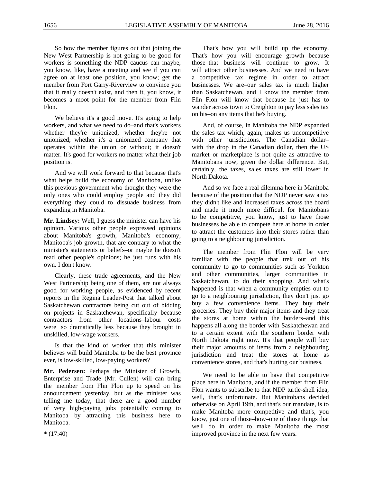So how the member figures out that joining the New West Partnership is not going to be good for workers is something the NDP caucus can maybe, you know, like, have a meeting and see if you can agree on at least one position, you know; get the member from Fort Garry-Riverview to convince you that it really doesn't exist, and then it, you know, it becomes a moot point for the member from Flin Flon.

We believe it's a good move. It's going to help workers, and what we need to do–and that's workers whether they're unionized, whether they're not unionized; whether it's a unionized company that operates within the union or without; it doesn't matter. It's good for workers no matter what their job position is.

And we will work forward to that because that's what helps build the economy of Manitoba, unlike this previous government who thought they were the only ones who could employ people and they did everything they could to dissuade business from expanding in Manitoba.

**Mr. Lindsey:** Well, I guess the minister can have his opinion. Various other people expressed opinions about Manitoba's growth, Manitoba's economy, Manitoba's job growth, that are contrary to what the minister's statements or beliefs–or maybe he doesn't read other people's opinions; he just runs with his own. I don't know.

Clearly, these trade agreements, and the New West Partnership being one of them, are not always good for working people, as evidenced by recent reports in the Regina Leader-Post that talked about Saskatchewan contractors being cut out of bidding on projects in Saskatchewan, specifically because contractors from other locations–labour costs were so dramatically less because they brought in unskilled, low-wage workers.

Is that the kind of worker that this minister believes will build Manitoba to be the best province ever, is low-skilled, low-paying workers?

**Mr. Pedersen:** Perhaps the Minister of Growth, Enterprise and Trade (Mr. Cullen) will–can bring the member from Flin Flon up to speed on his announcement yesterday, but as the minister was telling me today, that there are a good number of very high-paying jobs potentially coming to Manitoba by attracting this business here to Manitoba.

That's how you will build up the economy. That's how you will encourage growth because those–that business will continue to grow. It will attract other businesses. And we need to have a competitive tax regime in order to attract businesses. We are–our sales tax is much higher than Saskatchewan, and I know the member from Flin Flon will know that because he just has to wander across town to Creighton to pay less sales tax on his–on any items that he's buying.

And, of course, in Manitoba the NDP expanded the sales tax which, again, makes us uncompetitive with other jurisdictions. The Canadian dollar– with the drop in the Canadian dollar, then the US market–or marketplace is not quite as attractive to Manitobans now, given the dollar difference. But, certainly, the taxes, sales taxes are still lower in North Dakota.

And so we face a real dilemma here in Manitoba because of the position that the NDP never saw a tax they didn't like and increased taxes across the board and made it much more difficult for Manitobans to be competitive, you know, just to have those businesses be able to compete here at home in order to attract the customers into their stores rather than going to a neighbouring jurisdiction.

The member from Flin Flon will be very familiar with the people that trek out of his community to go to communities such as Yorkton and other communities, larger communities in Saskatchewan, to do their shopping. And what's happened is that when a community empties out to go to a neighbouring jurisdiction, they don't just go buy a few convenience items. They buy their groceries. They buy their major items and they treat the stores at home within the borders–and this happens all along the border with Saskatchewan and to a certain extent with the southern border with North Dakota right now. It's that people will buy their major amounts of items from a neighbouring jurisdiction and treat the stores at home as convenience stores, and that's hurting our business.

We need to be able to have that competitive place here in Manitoba, and if the member from Flin Flon wants to subscribe to that NDP turtle-shell idea, well, that's unfortunate. But Manitobans decided otherwise on April 19th, and that's our mandate, is to make Manitoba more competitive and that's, you know, just one of those–how–one of those things that we'll do in order to make Manitoba the most improved province in the next few years.

**\*** (17:40)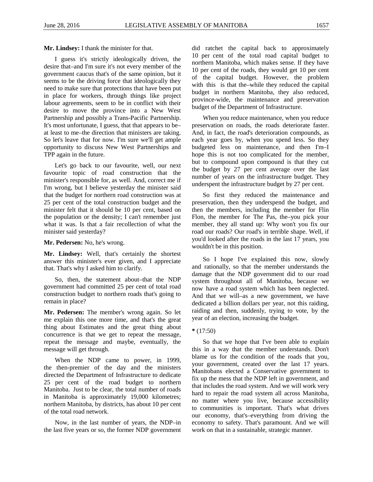**Mr. Lindsey:** I thank the minister for that.

I guess it's strictly ideologically driven, the desire that–and I'm sure it's not every member of the government caucus that's of the same opinion, but it seems to be the driving force that ideologically they need to make sure that protections that have been put in place for workers, through things like project labour agreements, seem to be in conflict with their desire to move the province into a New West Partnership and possibly a Trans-Pacific Partnership. It's most unfortunate, I guess, that that appears to be– at least to me–the direction that ministers are taking. So let's leave that for now. I'm sure we'll get ample opportunity to discuss New West Partnerships and TPP again in the future.

Let's go back to our favourite, well, our next favourite topic of road construction that the minister's responsible for, as well. And, correct me if I'm wrong, but I believe yesterday the minister said that the budget for northern road construction was at 25 per cent of the total construction budget and the minister felt that it should be 10 per cent, based on the population or the density; I can't remember just what it was. Is that a fair recollection of what the minister said yesterday?

**Mr. Pedersen:** No, he's wrong.

**Mr. Lindsey:** Well, that's certainly the shortest answer this minister's ever given, and I appreciate that. That's why I asked him to clarify.

So, then, the statement about–that the NDP government had committed 25 per cent of total road construction budget to northern roads that's going to remain in place?

**Mr. Pedersen:** The member's wrong again. So let me explain this one more time, and that's the great thing about Estimates and the great thing about concurrence is that we get to repeat the message, repeat the message and maybe, eventually, the message will get through.

When the NDP came to power, in 1999, the then-premier of the day and the ministers directed the Department of Infrastructure to dedicate 25 per cent of the road budget to northern Manitoba. Just to be clear, the total number of roads in Manitoba is approximately 19,000 kilometres; northern Manitoba, by districts, has about 10 per cent of the total road network.

Now, in the last number of years, the NDP–in the last five years or so, the former NDP government did ratchet the capital back to approximately 10 per cent of the total road capital budget to northern Manitoba, which makes sense. If they have 10 per cent of the roads, they would get 10 per cent of the capital budget. However, the problem with this is that the–while they reduced the capital budget in northern Manitoba, they also reduced, province-wide, the maintenance and preservation budget of the Department of Infrastructure.

When you reduce maintenance, when you reduce preservation on roads, the roads deteriorate faster. And, in fact, the road's deterioration compounds, as each year goes by, when you spend less. So they budgeted less on maintenance, and then I'm–I hope this is not too complicated for the member, but to compound upon compound is that they cut the budget by 27 per cent average over the last number of years on the infrastructure budget. They underspent the infrastructure budget by 27 per cent.

So first they reduced the maintenance and preservation, then they underspend the budget, and then the members, including the member for Flin Flon, the member for The Pas, the–you pick your member, they all stand up: Why won't you fix our road our roads? Our road's in terrible shape. Well, if you'd looked after the roads in the last 17 years, you wouldn't be in this position.

So I hope I've explained this now, slowly and rationally, so that the member understands the damage that the NDP government did to our road system throughout all of Manitoba, because we now have a road system which has been neglected. And that we will–as a new government, we have dedicated a billion dollars per year, not this raiding, raiding and then, suddenly, trying to vote, by the year of an election, increasing the budget.

#### **\*** (17:50)

So that we hope that I've been able to explain this in a way that the member understands. Don't blame us for the condition of the roads that you, your government, created over the last 17 years. Manitobans elected a Conservative government to fix up the mess that the NDP left in government, and that includes the road system. And we will work very hard to repair the road system all across Manitoba, no matter where you live, because accessibility to communities is important. That's what drives our economy, that's–everything from driving the economy to safety. That's paramount. And we will work on that in a sustainable, strategic manner.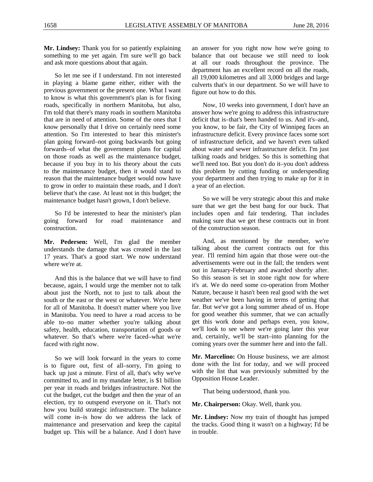**Mr. Lindsey:** Thank you for so patiently explaining something to me yet again. I'm sure we'll go back and ask more questions about that again.

So let me see if I understand. I'm not interested in playing a blame game either, either with the previous government or the present one. What I want to know is what this government's plan is for fixing roads, specifically in northern Manitoba, but also, I'm told that there's many roads in southern Manitoba that are in need of attention. Some of the ones that I know personally that I drive on certainly need some attention. So I'm interested to hear this minister's plan going forward–not going backwards but going forwards–of what the government plans for capital on those roads as well as the maintenance budget, because if you buy in to his theory about the cuts to the maintenance budget, then it would stand to reason that the maintenance budget would now have to grow in order to maintain these roads, and I don't believe that's the case. At least not in this budget; the maintenance budget hasn't grown, I don't believe.

So I'd be interested to hear the minister's plan going forward for road maintenance and construction.

**Mr. Pedersen:** Well, I'm glad the member understands the damage that was created in the last 17 years. That's a good start. We now understand where we're at.

And this is the balance that we will have to find because, again, I would urge the member not to talk about just the North, not to just to talk about the south or the east or the west or whatever. We're here for all of Manitoba. It doesn't matter where you live in Manitoba. You need to have a road access to be able to–no matter whether you're talking about safety, health, education, transportation of goods or whatever. So that's where we're faced–what we're faced with right now.

So we will look forward in the years to come is to figure out, first of all–sorry, I'm going to back up just a minute. First of all, that's why we've committed to, and in my mandate letter, is \$1 billion per year in roads and bridges infrastructure. Not the cut the budget, cut the budget and then the year of an election, try to outspend everyone on it. That's not how you build strategic infrastructure. The balance will come in–is how do we address the lack of maintenance and preservation and keep the capital budget up. This will be a balance. And I don't have

an answer for you right now how we're going to balance that out because we still need to look at all our roads throughout the province. The department has an excellent record on all the roads, all 19,000 kilometres and all 3,000 bridges and large culverts that's in our department. So we will have to figure out how to do this.

Now, 10 weeks into government, I don't have an answer how we're going to address this infrastructure deficit that is–that's been handed to us. And it's–and, you know, to be fair, the City of Winnipeg faces an infrastructure deficit. Every province faces some sort of infrastructure deficit, and we haven't even talked about water and sewer infrastructure deficit. I'm just talking roads and bridges. So this is something that we'll need too. But you don't do it–you don't address this problem by cutting funding or underspending your department and then trying to make up for it in a year of an election.

So we will be very strategic about this and make sure that we get the best bang for our buck. That includes open and fair tendering. That includes making sure that we get these contracts out in front of the construction season.

And, as mentioned by the member, we're talking about the current contracts out for this year. I'll remind him again that those were out–the advertisements were out in the fall; the tenders went out in January-February and awarded shortly after. So this season is set in stone right now for where it's at. We do need some co-operation from Mother Nature, because it hasn't been real good with the wet weather we've been having in terms of getting that far. But we've got a long summer ahead of us. Hope for good weather this summer, that we can actually get this work done and perhaps even, you know, we'll look to see where we're going later this year and, certainly, we'll be start–into planning for the coming years over the summer here and into the fall.

**Mr. Marcelino:** On House business, we are almost done with the list for today, and we will proceed with the list that was previously submitted by the Opposition House Leader.

That being understood, thank you.

**Mr. Chairperson:** Okay. Well, thank you.

**Mr. Lindsey:** Now my train of thought has jumped the tracks. Good thing it wasn't on a highway; I'd be in trouble.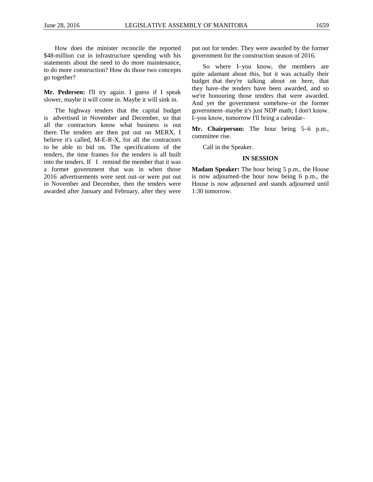How does the minister reconcile the reported \$48-million cut in infrastructure spending with his statements about the need to do more maintenance, to do more construction? How do those two concepts go together?

**Mr. Pedersen:** I'll try again. I guess if I speak slower, maybe it will come in. Maybe it will sink in.

The highway tenders that the capital budget is advertised in November and December, so that all the contractors know what business is out there. The tenders are then put out on MERX, I believe it's called, M-E-R-X, for all the contractors to be able to bid on. The specifications of the tenders, the time frames for the tenders is all built into the tenders. If I remind the member that it was a former government that was in when those 2016 advertisements were sent out–or were put out in November and December, then the tenders were awarded after January and February, after they were

put out for tender. They were awarded by the former government for the construction season of 2016.

So where I–you know, the members are quite adamant about this, but it was actually their budget that they're talking about on here, that they have–the tenders have been awarded, and so we're honouring those tenders that were awarded. And yet the government somehow–or the former government–maybe it's just NDP math; I don't know. I–you know, tomorrow I'll bring a calendar–

**Mr. Chairperson:** The hour being 5–6 p.m., committee rise.

Call in the Speaker.

# **IN SESSION**

**Madam Speaker:** The hour being 5 p.m., the House is now adjourned–the hour now being 6 p.m., the House is now adjourned and stands adjourned until 1:30 tomorrow.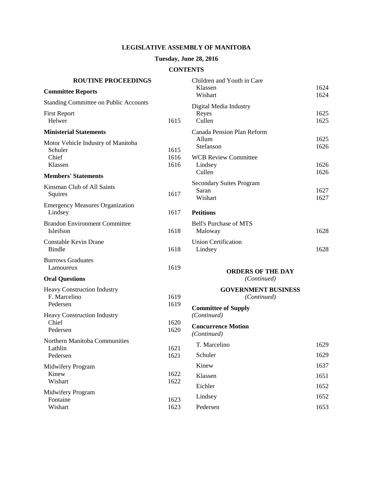# **LEGISLATIVE ASSEMBLY OF MANITOBA**

# **Tuesday, June 28, 2016**

# **CONTENTS**

| <b>ROUTINE PROCEEDINGS</b>                                        |                      | Children and Youth in Care                                   |                      |
|-------------------------------------------------------------------|----------------------|--------------------------------------------------------------|----------------------|
| <b>Committee Reports</b>                                          |                      | Klassen<br>Wishart                                           | 1624<br>1624         |
| <b>Standing Committee on Public Accounts</b>                      |                      | Digital Media Industry                                       |                      |
| <b>First Report</b><br>Helwer                                     | 1615                 | Reyes<br>Cullen                                              | 1625<br>1625         |
| <b>Ministerial Statements</b>                                     |                      | Canada Pension Plan Reform                                   |                      |
| Motor Vehicle Industry of Manitoba<br>Schuler<br>Chief<br>Klassen | 1615<br>1616<br>1616 | Allum<br>Stefanson<br><b>WCB Review Committee</b><br>Lindsey | 1625<br>1626<br>1626 |
| <b>Members' Statements</b>                                        |                      | Cullen                                                       | 1626                 |
| Kinsman Club of All Saints<br>Squires                             | 1617                 | <b>Secondary Suites Program</b><br>Saran<br>Wishart          | 1627<br>1627         |
| <b>Emergency Measures Organization</b><br>Lindsey                 | 1617                 | <b>Petitions</b>                                             |                      |
| <b>Brandon Environment Committee</b><br>Isleifson                 | 1618                 | <b>Bell's Purchase of MTS</b><br>Maloway                     | 1628                 |
| <b>Constable Kevin Drane</b><br><b>Bindle</b>                     | 1618                 | <b>Union Certification</b><br>Lindsey                        | 1628                 |
| <b>Burrows Graduates</b><br>Lamoureux                             | 1619                 | <b>ORDERS OF THE DAY</b>                                     |                      |
| <b>Oral Questions</b>                                             |                      | (Continued)                                                  |                      |
| <b>Heavy Construction Industry</b><br>F. Marcelino                | 1619                 | <b>GOVERNMENT BUSINESS</b><br>(Continued)                    |                      |
| Pedersen<br>Heavy Construction Industry                           | 1619                 | <b>Committee of Supply</b><br>(Continued)                    |                      |
| Chief<br>Pedersen                                                 | 1620<br>1620         | <b>Concurrence Motion</b><br>(Continued)                     |                      |
| Northern Manitoba Communities                                     | 1621                 | T. Marcelino                                                 | 1629                 |
| Lathlin<br>Pedersen                                               | 1621                 | Schuler                                                      | 1629                 |
| Midwifery Program                                                 |                      | Kinew                                                        | 1637                 |
| Kinew<br>Wishart                                                  | 1622<br>1622         | Klassen                                                      | 1651                 |
|                                                                   |                      | Eichler                                                      | 1652                 |
| Midwifery Program<br>Fontaine                                     | 1623                 | Lindsey                                                      | 1652                 |
| Wishart                                                           | 1623                 | Pedersen                                                     | 1653                 |